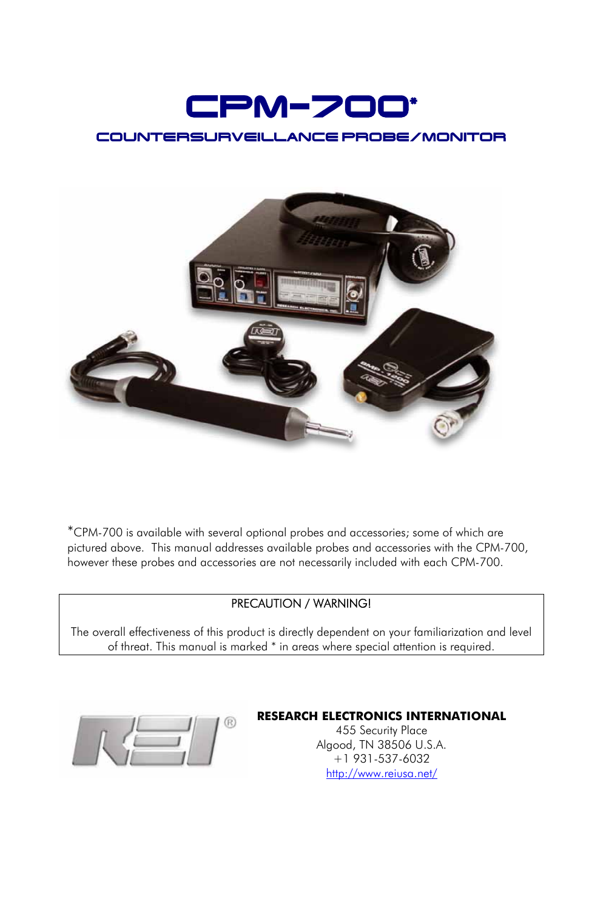



\*CPM-700 is available with several optional probes and accessories; some of which are pictured above. This manual addresses available probes and accessories with the CPM-700, however these probes and accessories are not necessarily included with each CPM-700.

#### PRECAUTION / WARNING!

The overall effectiveness of this product is directly dependent on your familiarization and level of threat. This manual is marked \* in areas where special attention is required.



#### **RESEARCH ELECTRONICS INTERNATIONAL**

455 Security Place Algood, TN 38506 U.S.A. +1 931-537-6032 <http://www.reiusa.net/>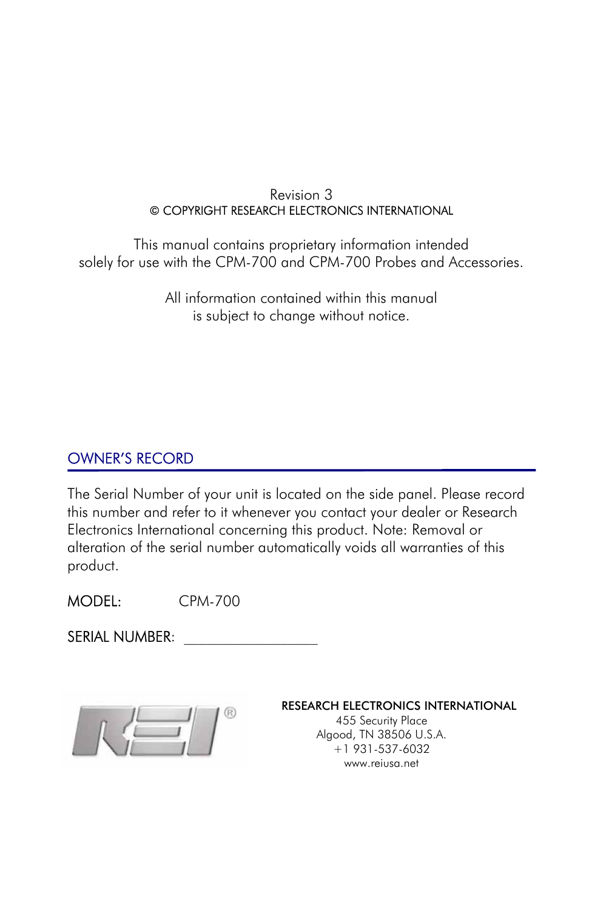#### Revision 3 © COPYRIGHT RESEARCH ELECTRONICS INTERNATIONAL

This manual contains proprietary information intended solely for use with the CPM-700 and CPM-700 Probes and Accessories.

> All information contained within this manual is subject to change without notice.

### OWNER'S RECORD

The Serial Number of your unit is located on the side panel. Please record this number and refer to it whenever you contact your dealer or Research Electronics International concerning this product. Note: Removal or alteration of the serial number automatically voids all warranties of this product.

MODEL: CPM-700

SERIAL NUMBER:



RESEARCH ELECTRONICS INTERNATIONAL

455 Security Place Algood, TN 38506 U.S.A. +1 931-537-6032 [www.reiusa.net](http://www.reiusa.net/)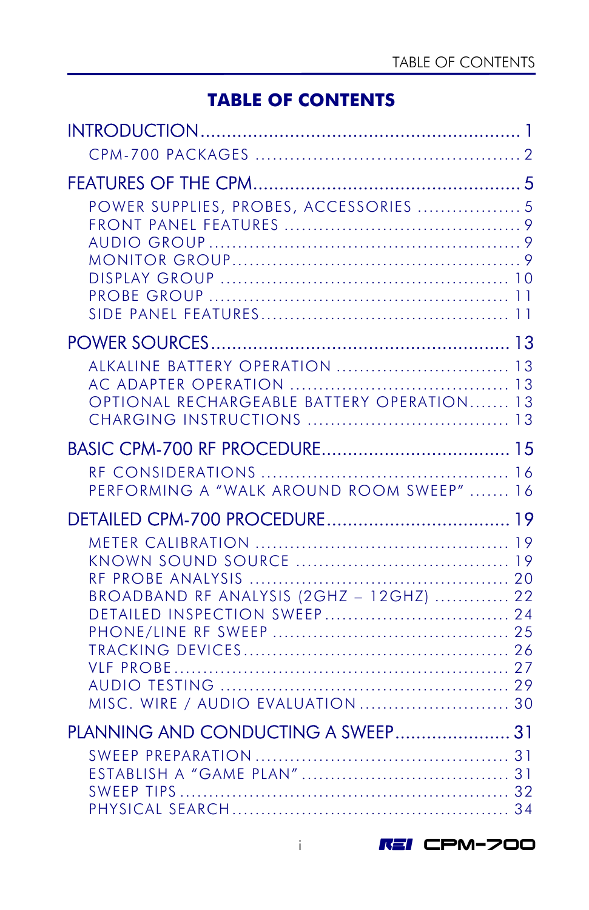### **TABLE OF CONTENTS**

| POWER SUPPLIES, PROBES, ACCESSORIES  5                                                                        |  |
|---------------------------------------------------------------------------------------------------------------|--|
|                                                                                                               |  |
| ALKALINE BATTERY OPERATION  13<br>OPTIONAL RECHARGEABLE BATTERY OPERATION 13                                  |  |
|                                                                                                               |  |
| PERFORMING A "WALK AROUND ROOM SWEEP"  16                                                                     |  |
|                                                                                                               |  |
| BROADBAND RF ANALYSIS (2GHZ - 12GHZ)  22<br>DETAILED INSPECTION SWEEP 24<br>MISC. WIRE / AUDIO EVALUATION  30 |  |
| PLANNING AND CONDUCTING A SWEEP 31                                                                            |  |
|                                                                                                               |  |

i REI CPM-700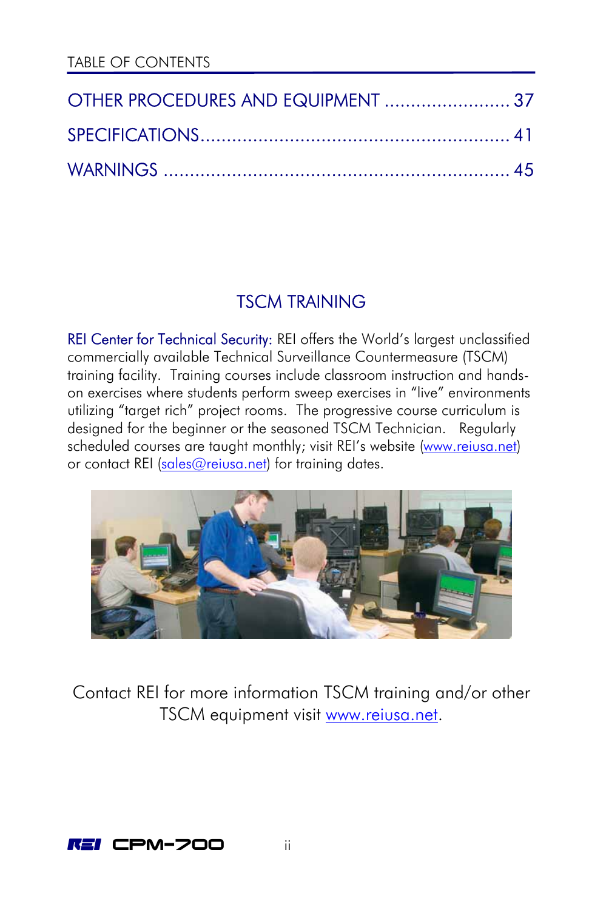| OTHER PROCEDURES AND EQUIPMENT  37 |  |
|------------------------------------|--|
|                                    |  |
|                                    |  |

# TSCM TRAINING

REI Center for Technical Security: REI offers the World's largest unclassified commercially available Technical Surveillance Countermeasure (TSCM) training facility. Training courses include classroom instruction and handson exercises where students perform sweep exercises in "live" environments utilizing "target rich" project rooms. The progressive course curriculum is designed for the beginner or the seasoned TSCM Technician. Regularly scheduled courses are taught monthly; visit REI's website ([www.reiusa.net\)](http://www.reiusa.net/) or contact REI ([sales@reiusa.net](mailto:sales@reiusa.net)) for training dates.



Contact REI for more information TSCM training and/or other TSCM equipment visit www.reiusa.net.

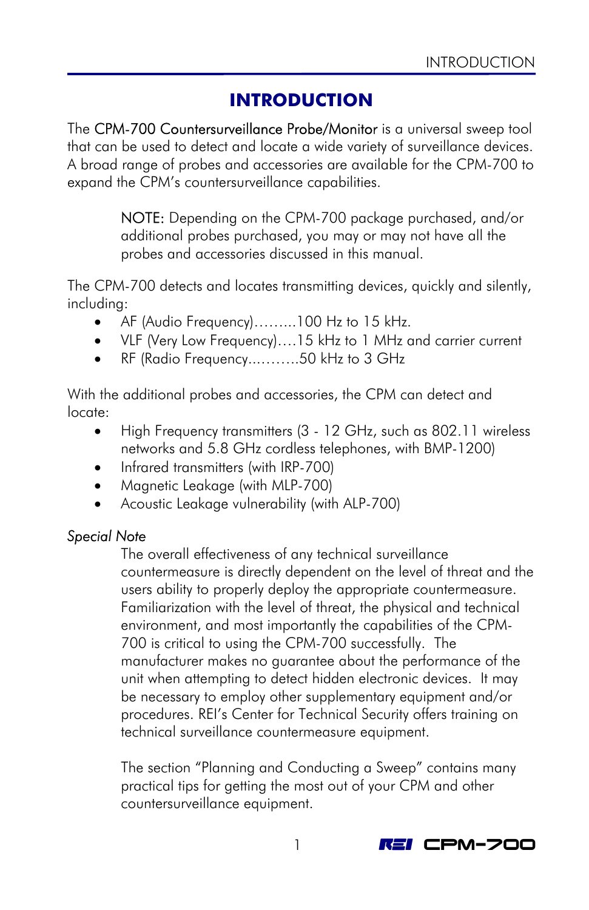# **INTRODUCTION**

<span id="page-4-0"></span>The CPM-700 Countersurveillance Probe/Monitor is a universal sweep tool that can be used to detect and locate a wide variety of surveillance devices. A broad range of probes and accessories are available for the CPM-700 to expand the CPM's countersurveillance capabilities.

> NOTE: Depending on the CPM-700 package purchased, and/or additional probes purchased, you may or may not have all the probes and accessories discussed in this manual.

The CPM-700 detects and locates transmitting devices, quickly and silently, including:

- AF (Audio Frequency)……...100 Hz to 15 kHz.
- VLF (Very Low Frequency)….15 kHz to 1 MHz and carrier current
- RF (Radio Frequency...……..50 kHz to 3 GHz

With the additional probes and accessories, the CPM can detect and locate:

- High Frequency transmitters (3 12 GHz, such as 802.11 wireless networks and 5.8 GHz cordless telephones, with BMP-1200)
- Infrared transmitters (with IRP-700)
- Magnetic Leakage (with MLP-700)
- Acoustic Leakage vulnerability (with ALP-700)

### *Special Note*

The overall effectiveness of any technical surveillance countermeasure is directly dependent on the level of threat and the users ability to properly deploy the appropriate countermeasure. Familiarization with the level of threat, the physical and technical environment, and most importantly the capabilities of the CPM-700 is critical to using the CPM-700 successfully. The manufacturer makes no guarantee about the performance of the unit when attempting to detect hidden electronic devices. It may be necessary to employ other supplementary equipment and/or procedures. REI's Center for Technical Security offers training on technical surveillance countermeasure equipment.

The section "Planning and Conducting a Sweep" contains many practical tips for getting the most out of your CPM and other countersurveillance equipment.

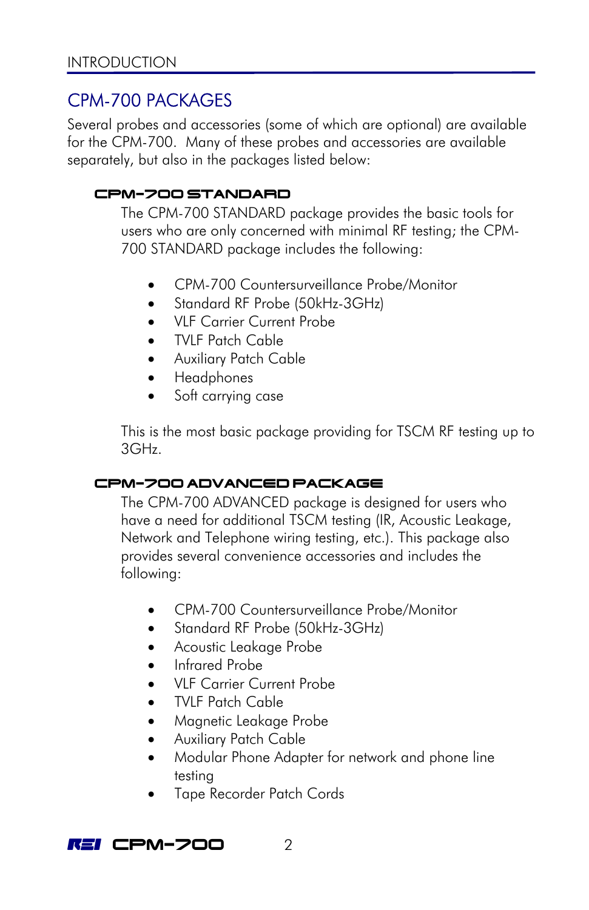### <span id="page-5-0"></span>CPM-700 PACKAGES

Several probes and accessories (some of which are optional) are available for the CPM-700. Many of these probes and accessories are available separately, but also in the packages listed below:

### CPM-700 STANDARD

The CPM-700 STANDARD package provides the basic tools for users who are only concerned with minimal RF testing; the CPM-700 STANDARD package includes the following:

- CPM-700 Countersurveillance Probe/Monitor
- Standard RF Probe (50kHz-3GHz)
- VLF Carrier Current Probe
- TVLF Patch Cable
- Auxiliary Patch Cable
- Headphones
- Soft carrying case

This is the most basic package providing for TSCM RF testing up to 3GHz.

#### CPM-700 ADVANCED PACKAGE

The CPM-700 ADVANCED package is designed for users who have a need for additional TSCM testing (IR, Acoustic Leakage, Network and Telephone wiring testing, etc.). This package also provides several convenience accessories and includes the following:

- CPM-700 Countersurveillance Probe/Monitor
- Standard RF Probe (50kHz-3GHz)
- Acoustic Leakage Probe
- Infrared Probe
- VLF Carrier Current Probe
- TVLF Patch Cable
- Magnetic Leakage Probe
- Auxiliary Patch Cable
- Modular Phone Adapter for network and phone line testing
- Tape Recorder Patch Cords

**REI CPM-700** 2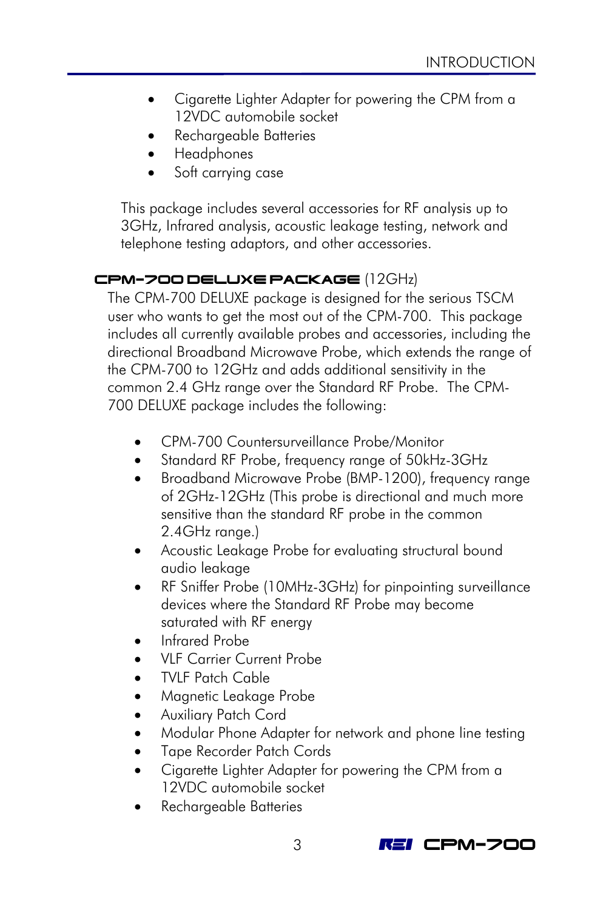- Cigarette Lighter Adapter for powering the CPM from a 12VDC automobile socket
- Rechargeable Batteries
- Headphones
- Soft carrying case

This package includes several accessories for RF analysis up to 3GHz, Infrared analysis, acoustic leakage testing, network and telephone testing adaptors, and other accessories.

### CPM-700 DELUXE PACKAGE (12GHz)

The CPM-700 DELUXE package is designed for the serious TSCM user who wants to get the most out of the CPM-700. This package includes all currently available probes and accessories, including the directional Broadband Microwave Probe, which extends the range of the CPM-700 to 12GHz and adds additional sensitivity in the common 2.4 GHz range over the Standard RF Probe. The CPM-700 DELUXE package includes the following:

- CPM-700 Countersurveillance Probe/Monitor
- Standard RF Probe, frequency range of 50kHz-3GHz
- Broadband Microwave Probe (BMP-1200), frequency range of 2GHz-12GHz (This probe is directional and much more sensitive than the standard RF probe in the common 2.4GHz range.)
- Acoustic Leakage Probe for evaluating structural bound audio leakage
- RF Sniffer Probe (10MHz-3GHz) for pinpointing surveillance devices where the Standard RF Probe may become saturated with RF energy
- Infrared Probe
- VLF Carrier Current Probe
- TVLF Patch Cable
- Magnetic Leakage Probe
- Auxiliary Patch Cord
- Modular Phone Adapter for network and phone line testing
- Tape Recorder Patch Cords
- Cigarette Lighter Adapter for powering the CPM from a 12VDC automobile socket
- Rechargeable Batteries

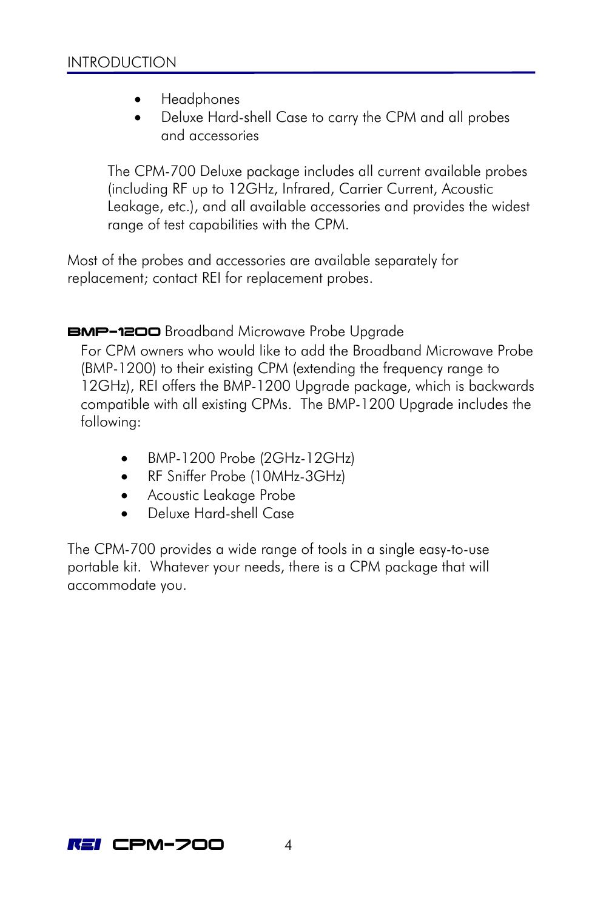- Headphones
- Deluxe Hard-shell Case to carry the CPM and all probes and accessories

The CPM-700 Deluxe package includes all current available probes (including RF up to 12GHz, Infrared, Carrier Current, Acoustic Leakage, etc.), and all available accessories and provides the widest range of test capabilities with the CPM.

Most of the probes and accessories are available separately for replacement; contact REI for replacement probes.

### BMP-1200 Broadband Microwave Probe Upgrade

For CPM owners who would like to add the Broadband Microwave Probe (BMP-1200) to their existing CPM (extending the frequency range to 12GHz), REI offers the BMP-1200 Upgrade package, which is backwards compatible with all existing CPMs. The BMP-1200 Upgrade includes the following:

- BMP-1200 Probe (2GHz-12GHz)
- RF Sniffer Probe (10MHz-3GHz)
- Acoustic Leakage Probe
- Deluxe Hard-shell Case

The CPM-700 provides a wide range of tools in a single easy-to-use portable kit. Whatever your needs, there is a CPM package that will accommodate you.

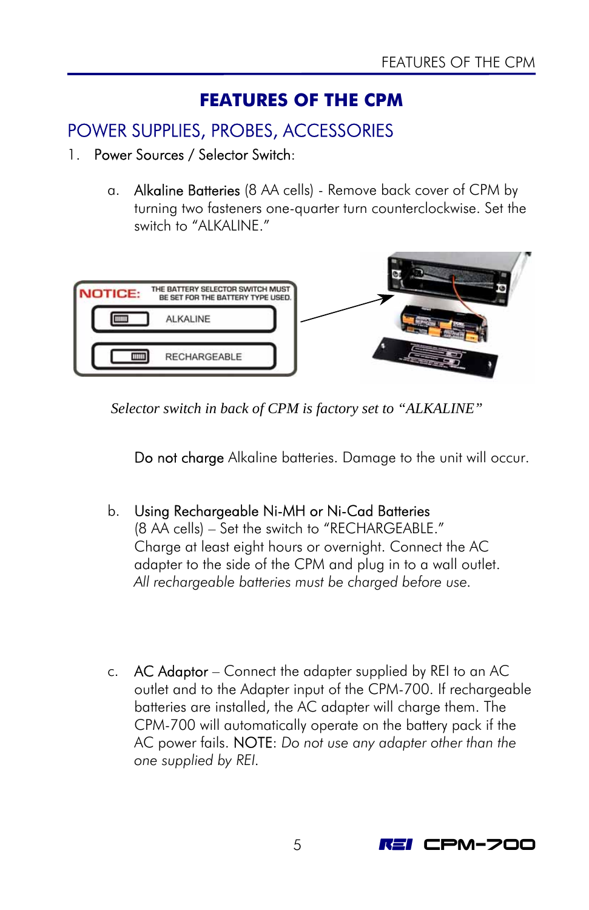### **FEATURES OF THE CPM**

### <span id="page-8-0"></span>POWER SUPPLIES, PROBES, ACCESSORIES

- 1. Power Sources / Selector Switch:
	- a. Alkaline Batteries (8 AA cells) Remove back cover of CPM by turning two fasteners one-quarter turn counterclockwise. Set the switch to "ALKALINE."



 *Selector switch in back of CPM is factory set to "ALKALINE"* 

Do not charge Alkaline batteries. Damage to the unit will occur.

### b. Using Rechargeable Ni-MH or Ni-Cad Batteries

(8 AA cells) – Set the switch to "RECHARGEABLE." Charge at least eight hours or overnight. Connect the AC adapter to the side of the CPM and plug in to a wall outlet. *All rechargeable batteries must be charged before use.*

c.  $AC$  Adaptor – Connect the adapter supplied by REI to an AC outlet and to the Adapter input of the CPM-700. If rechargeable batteries are installed, the AC adapter will charge them. The CPM-700 will automatically operate on the battery pack if the AC power fails. NOTE: *Do not use any adapter other than the one supplied by REI.*

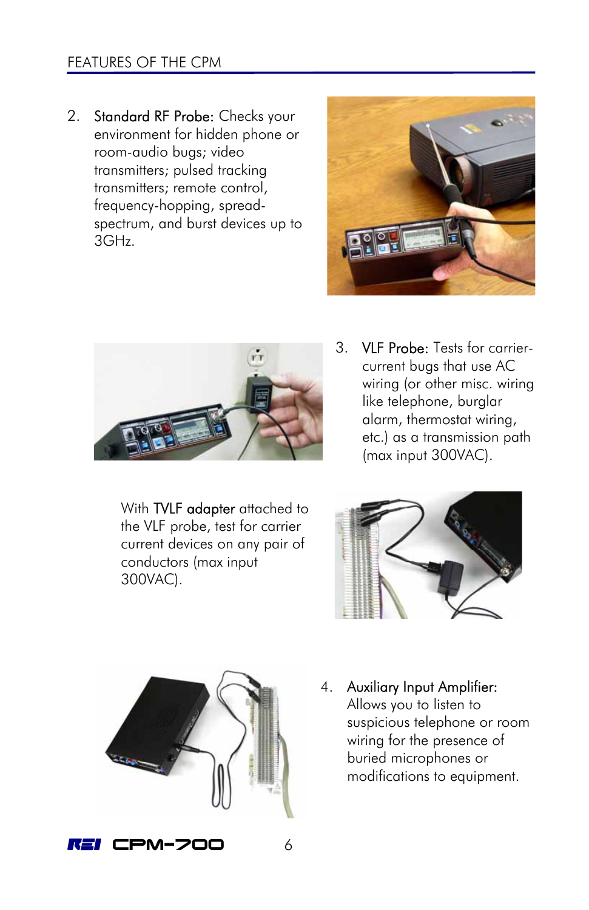### FEATURES OF THE CPM

2. Standard RF Probe: Checks your environment for hidden phone or room-audio bugs; video transmitters; pulsed tracking transmitters; remote control, frequency-hopping, spreadspectrum, and burst devices up to 3GHz.





With TVLF adapter attached to the VLF probe, test for carrier current devices on any pair of conductors (max input 300VAC).

3. VLF Probe: Tests for carriercurrent bugs that use AC wiring (or other misc. wiring like telephone, burglar alarm, thermostat wiring, etc.) as a transmission path (max input 300VAC).





4. Auxiliary Input Amplifier: Allows you to listen to suspicious telephone or room wiring for the presence of buried microphones or modifications to equipment.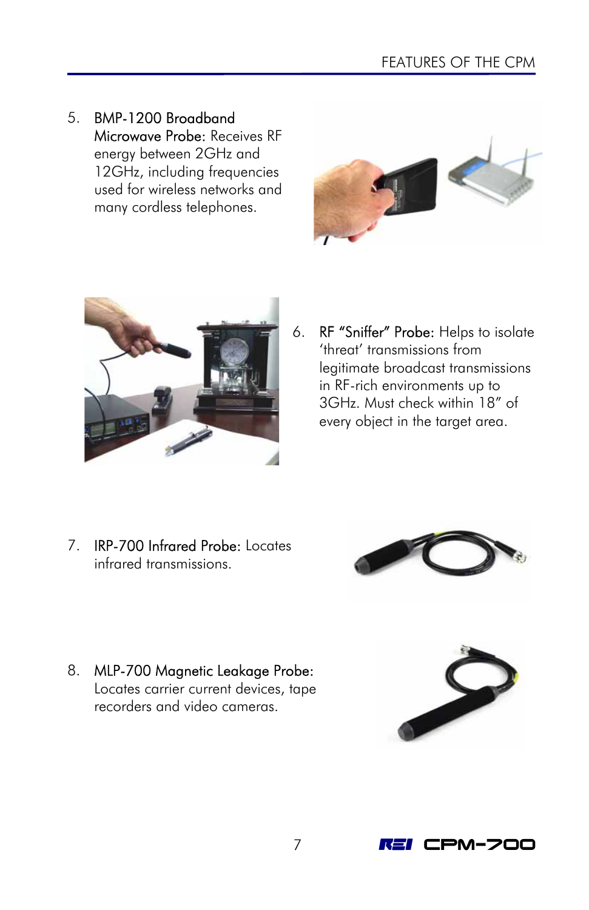5. BMP-1200 Broadband Microwave Probe: Receives RF energy between 2GHz and 12GHz, including frequencies used for wireless networks and many cordless telephones.





6. RF "Sniffer" Probe: Helps to isolate 'threat' transmissions from legitimate broadcast transmissions in RF-rich environments up to 3GHz. Must check within 18" of every object in the target area.

7. IRP-700 Infrared Probe: Locates infrared transmissions.



8. MLP-700 Magnetic Leakage Probe: Locates carrier current devices, tape recorders and video cameras.



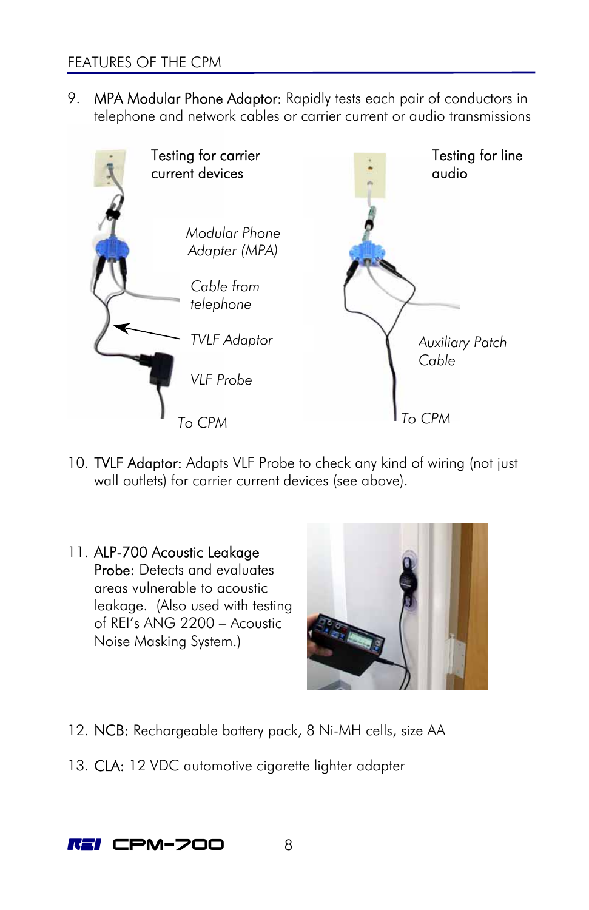9. MPA Modular Phone Adaptor: Rapidly tests each pair of conductors in telephone and network cables or carrier current or audio transmissions



- 10. TVLF Adaptor: Adapts VLF Probe to check any kind of wiring (not just wall outlets) for carrier current devices (see above).
- 11. ALP-700 Acoustic Leakage Probe: Detects and evaluates areas vulnerable to acoustic leakage. (Also used with testing of REI's ANG 2200 – Acoustic Noise Masking System.)



- 12. NCB: Rechargeable battery pack, 8 Ni-MH cells, size AA
- 13. CLA: 12 VDC automotive cigarette lighter adapter

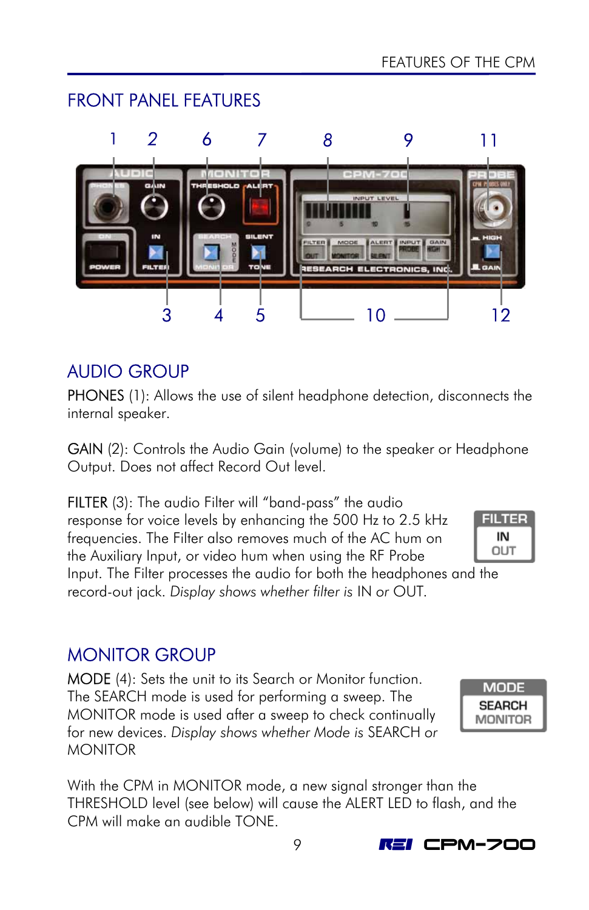

# AUDIO GROUP

<span id="page-12-0"></span>FRONT PANEL FEATURES

PHONES (1): Allows the use of silent headphone detection, disconnects the internal speaker.

GAIN (2): Controls the Audio Gain (volume) to the speaker or Headphone Output. Does not affect Record Out level.

FILTER (3): The audio Filter will "band-pass" the audio response for voice levels by enhancing the 500 Hz to 2.5 kHz frequencies. The Filter also removes much of the AC hum on the Auxiliary Input, or video hum when using the RF Probe

**FILTER** IN OUT

Input. The Filter processes the audio for both the headphones and the record-out jack. *Display shows whether filter is* IN *or* OUT*.*

# MONITOR GROUP

MODE (4): Sets the unit to its Search or Monitor function. The SEARCH mode is used for performing a sweep. The MONITOR mode is used after a sweep to check continually for new devices. *Display shows whether Mode is* SEARCH *or*  **MONITOR** 

With the CPM in MONITOR mode, a new signal stronger than the THRESHOLD level (see below) will cause the ALERT LED to flash, and the CPM will make an audible TONE.



9 **REI CPM-700**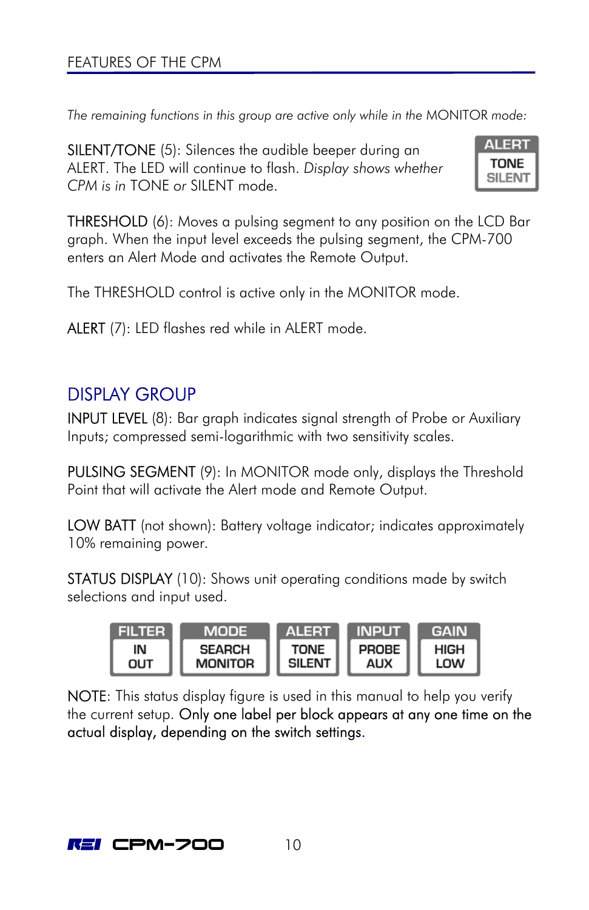<span id="page-13-0"></span>*The remaining functions in this group are active only while in the* MONITOR *mode:* 

SILENT/TONE (5): Silences the audible beeper during an ALERT. The LED will continue to flash. *Display shows whether CPM is in* TONE *or* SILENT mode.



**THRESHOLD** (6): Moves a pulsing segment to any position on the LCD Bar graph. When the input level exceeds the pulsing segment, the CPM-700 enters an Alert Mode and activates the Remote Output.

The THRESHOLD control is active only in the MONITOR mode.

ALERT (7): LED flashes red while in ALERT mode.

### DISPLAY GROUP

INPUT LEVEL (8): Bar graph indicates signal strength of Probe or Auxiliary Inputs; compressed semi-logarithmic with two sensitivity scales.

PULSING SEGMENT (9): In MONITOR mode only, displays the Threshold Point that will activate the Alert mode and Remote Output.

LOW BATT (not shown): Battery voltage indicator; indicates approximately 10% remaining power.

**STATUS DISPLAY** (10): Shows unit operating conditions made by switch selections and input used.



NOTE: This status display figure is used in this manual to help you verify the current setup. Only one label per block appears at any one time on the actual display, depending on the switch settings.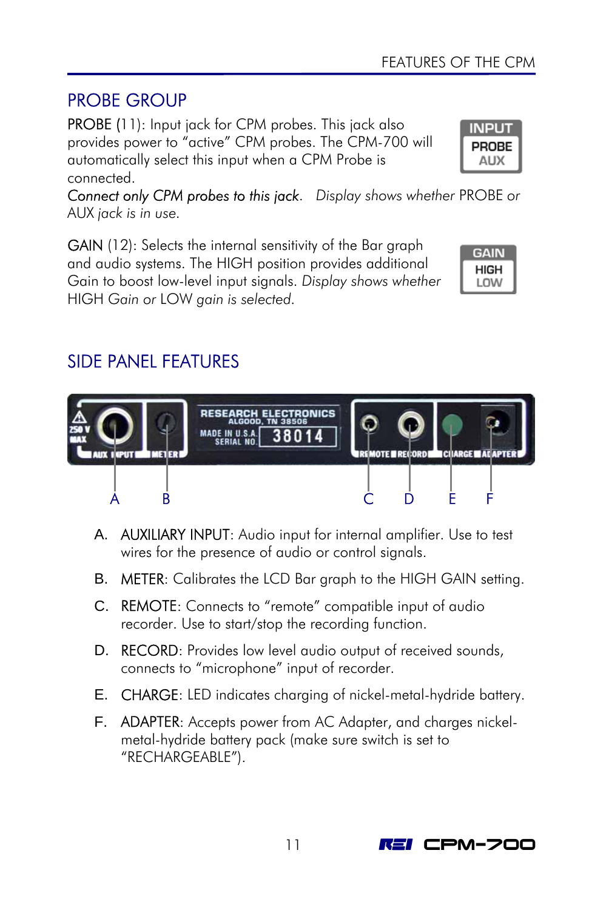# <span id="page-14-0"></span>PROBE GROUP

PROBE (11): Input jack for CPM probes. This jack also provides power to "active" CPM probes. The CPM-700 will automatically select this input when a CPM Probe is connected.

*Connect only CPM probes to this jack*. *Display shows whether* PROBE *or*  AUX *jack is in use.*

GAIN (12): Selects the internal sensitivity of the Bar graph and audio systems. The HIGH position provides additional Gain to boost low-level input signals. *Display shows whether*  HIGH *Gain or* LOW *gain is selected.*

#### **GAIN HIGH** LOW

**INPUT** PROBE AUX

# SIDE PANEL FEATURES



- A. AUXILIARY INPUT: Audio input for internal amplifier. Use to test wires for the presence of audio or control signals.
- B. METER: Calibrates the LCD Bar graph to the HIGH GAIN setting.
- C. REMOTE: Connects to "remote" compatible input of audio recorder. Use to start/stop the recording function.
- D. **RECORD**: Provides low level audio output of received sounds, connects to "microphone" input of recorder.
- E. CHARGE: LED indicates charging of nickel-metal-hydride battery.
- F. **ADAPTER:** Accepts power from AC Adapter, and charges nickelmetal-hydride battery pack (make sure switch is set to "RECHARGEABLE").

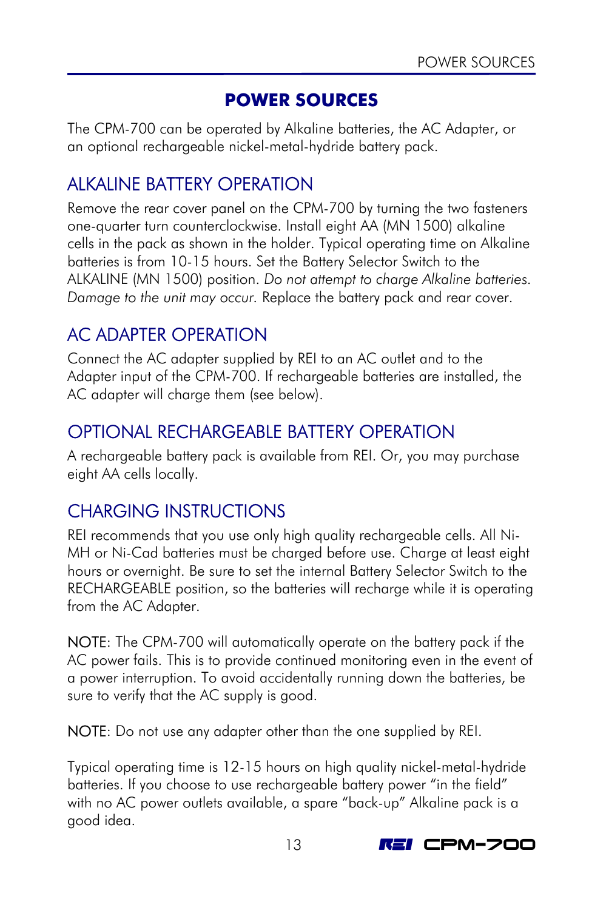### **POWER SOURCES**

<span id="page-16-0"></span>The CPM-700 can be operated by Alkaline batteries, the AC Adapter, or an optional rechargeable nickel-metal-hydride battery pack.

# ALKALINE BATTERY OPERATION

Remove the rear cover panel on the CPM-700 by turning the two fasteners one-quarter turn counterclockwise. Install eight AA (MN 1500) alkaline cells in the pack as shown in the holder. Typical operating time on Alkaline batteries is from 10-15 hours. Set the Battery Selector Switch to the ALKALINE (MN 1500) position. *Do not attempt to charge Alkaline batteries. Damage to the unit may occur.* Replace the battery pack and rear cover.

# AC ADAPTER OPERATION

Connect the AC adapter supplied by REI to an AC outlet and to the Adapter input of the CPM-700. If rechargeable batteries are installed, the AC adapter will charge them (see below).

### OPTIONAL RECHARGEABLE BATTERY OPERATION

A rechargeable battery pack is available from REI. Or, you may purchase eight AA cells locally.

# CHARGING INSTRUCTIONS

REI recommends that you use only high quality rechargeable cells. All Ni-MH or Ni-Cad batteries must be charged before use. Charge at least eight hours or overnight. Be sure to set the internal Battery Selector Switch to the RECHARGEABLE position, so the batteries will recharge while it is operating from the AC Adapter.

NOTE: The CPM-700 will automatically operate on the battery pack if the AC power fails. This is to provide continued monitoring even in the event of a power interruption. To avoid accidentally running down the batteries, be sure to verify that the AC supply is good.

NOTE: Do not use any adapter other than the one supplied by REI.

Typical operating time is 12-15 hours on high quality nickel-metal-hydride batteries. If you choose to use rechargeable battery power "in the field" with no AC power outlets available, a spare "back-up" Alkaline pack is a good idea.

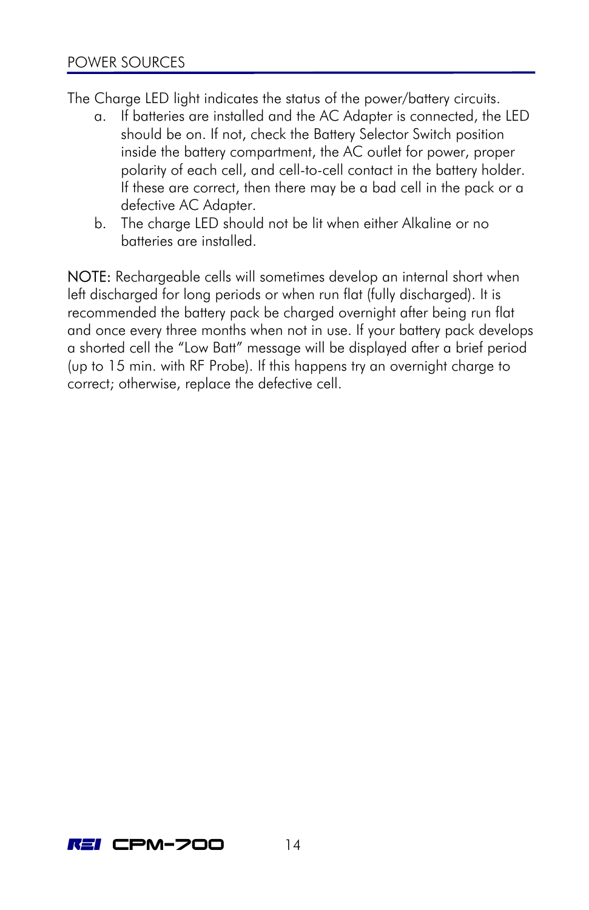The Charge LED light indicates the status of the power/battery circuits.

- a. If batteries are installed and the AC Adapter is connected, the LED should be on. If not, check the Battery Selector Switch position inside the battery compartment, the AC outlet for power, proper polarity of each cell, and cell-to-cell contact in the battery holder. If these are correct, then there may be a bad cell in the pack or a defective AC Adapter.
- b. The charge LED should not be lit when either Alkaline or no batteries are installed.

NOTE: Rechargeable cells will sometimes develop an internal short when left discharged for long periods or when run flat (fully discharged). It is recommended the battery pack be charged overnight after being run flat and once every three months when not in use. If your battery pack develops a shorted cell the "Low Batt" message will be displayed after a brief period (up to 15 min. with RF Probe). If this happens try an overnight charge to correct; otherwise, replace the defective cell.

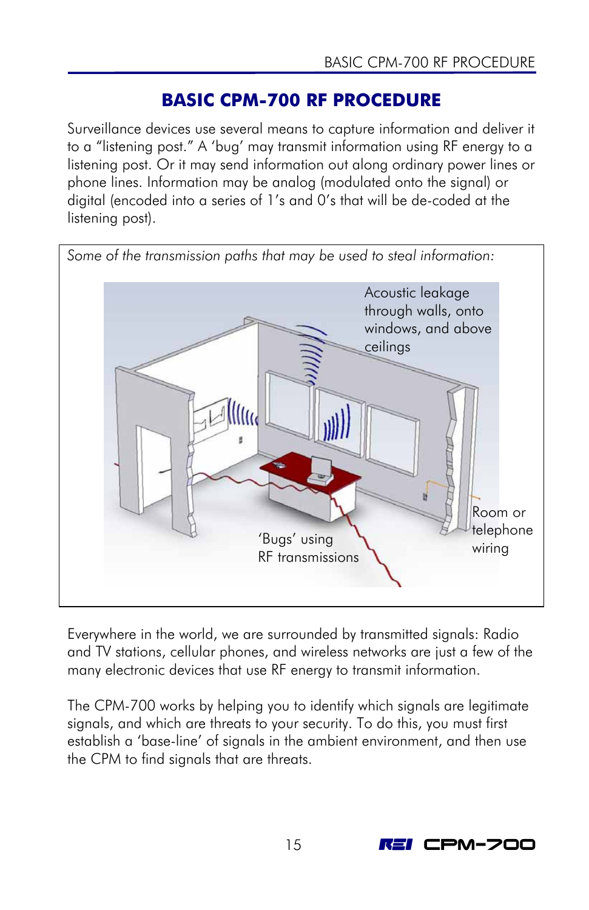### **BASIC CPM-700 RF PROCEDURE**

<span id="page-18-0"></span>Surveillance devices use several means to capture information and deliver it to a "listening post." A 'bug' may transmit information using RF energy to a listening post. Or it may send information out along ordinary power lines or phone lines. Information may be analog (modulated onto the signal) or digital (encoded into a series of 1's and 0's that will be de-coded at the listening post).



Everywhere in the world, we are surrounded by transmitted signals: Radio and TV stations, cellular phones, and wireless networks are just a few of the many electronic devices that use RF energy to transmit information.

The CPM-700 works by helping you to identify which signals are legitimate signals, and which are threats to your security. To do this, you must first establish a 'base-line' of signals in the ambient environment, and then use the CPM to find signals that are threats.

15 **REI CPM-700**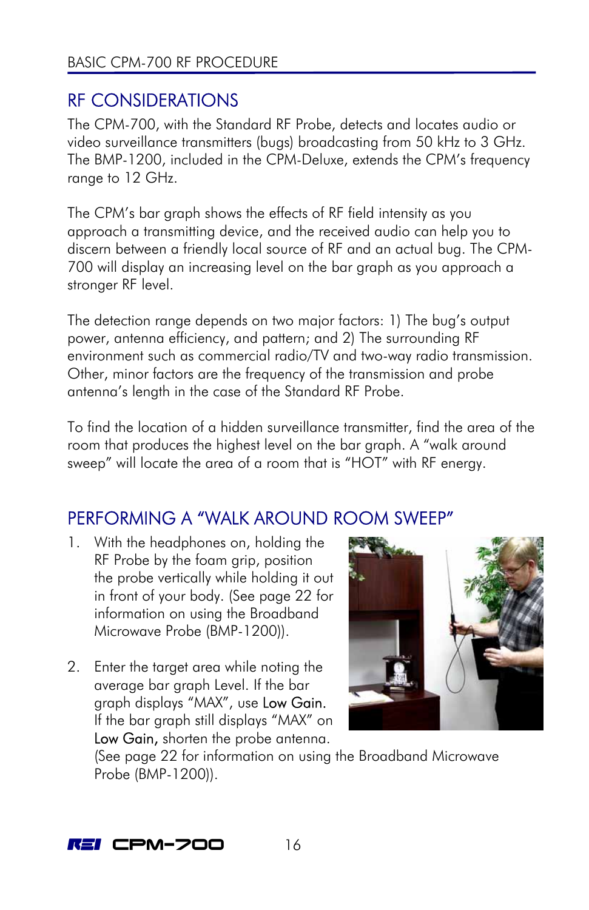# <span id="page-19-0"></span>RF CONSIDERATIONS

The CPM-700, with the Standard RF Probe, detects and locates audio or video surveillance transmitters (bugs) broadcasting from 50 kHz to 3 GHz. The BMP-1200, included in the CPM-Deluxe, extends the CPM's frequency range to 12 GHz.

<span id="page-19-1"></span>The CPM's bar graph shows the effects of RF field intensity as you approach a transmitting device, and the received audio can help you to discern between a friendly local source of RF and an actual bug. The CPM-700 will display an increasing level on the bar graph as you approach a stronger RF level.

The detection range depends on two major factors: 1) The bug's [outp](#page-25-1)ut power, antenna efficiency, and pattern; and 2) The surrounding RF environment such as commercial radio/TV and two-way radio transmission. Other, minor factors are the frequency of the transmission and probe antenna's length in the case of the Standard RF Probe.

To find the location of a hidden surveillance transmitter, find the area of the room that produces the highest level on the bar graph. A "walk around sweep" will locate the area of a room that is "HOT" with RF energy.

# PERFORMING A "WALK AROUND ROOM SWEEP"

- 1. With the headphones on, holding the RF Probe by the foam grip, position the probe vertically while holding it out in front of your body. (See page 22 for information on using the Broadband Microwave Probe (BMP-1200)).
- 2. Enter the target area while noting the average bar graph Level. If the bar graph displays "MAX", use Low Gain. If the bar graph still displays "MAX" on Low Gain, shorten the probe antenna.



(See page 22 for information on using the Broadband Microwave Probe (BMP-1200)).

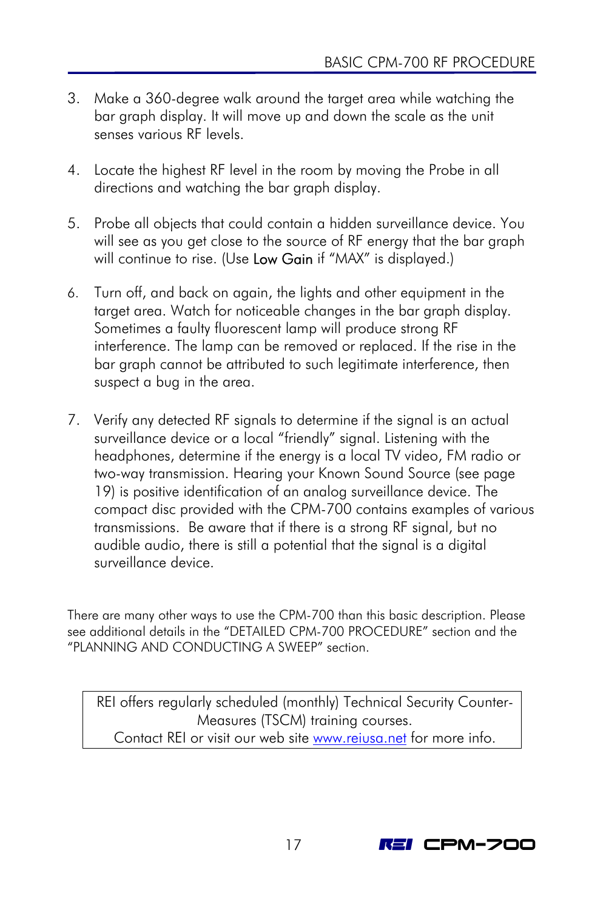- 3. Make a 360-degree walk around the target area while watching the bar graph display. It will move up and down the scale as the unit senses various RF levels.
- 4. Locate the highest RF level in the room by moving the Probe in all directions and watching the bar graph display.
- 5. Probe all objects that could [cont](#page-22-1)ain a hidden surveillance device. You will see as you get close to the source of RF energy that the bar graph will continue to rise. (Use Low Gain if "MAX" is displayed.)
- 6. Turn off, and back on again, the lights and other equipment in the target area. Watch for noticeable changes in the bar graph display. Sometimes a faulty fluorescent lamp will produce strong RF interference. The lamp can be removed or replaced. If the rise in the bar graph cannot be attributed to such legitimate i[nterference, then](#page-22-2)  suspect a bug in the area[.](#page-34-1)
- 7. Verify any detected RF signals to determine if the signal is an actual surveillance device or a local "friendly" signal. Listening with the headphones, determine if the energy is a local TV video, FM radio or two-way transmission. Hearing your Known Sound Source (see page 19) is positive identification of an analog surveillance device. The compact disc provided with the CPM-700 contains examples of various transmissions. Be aware that if there is a strong RF signal, but no audible audio, there is still a potential that the signal is a digital surveillance device.

There are many other ways to use the CPM-700 than this basic description. Please see additional details in the "DETAILED CPM-700 PROCEDURE" section and the "PLANNING AND CONDUCTING A SWEEP" section.

REI offers regularly scheduled (monthly) Technical Security Counter-Measures (TSCM) training courses. Contact REI or visit our web site [www.reiusa.net](http://www.reiusa.net/) for more info.

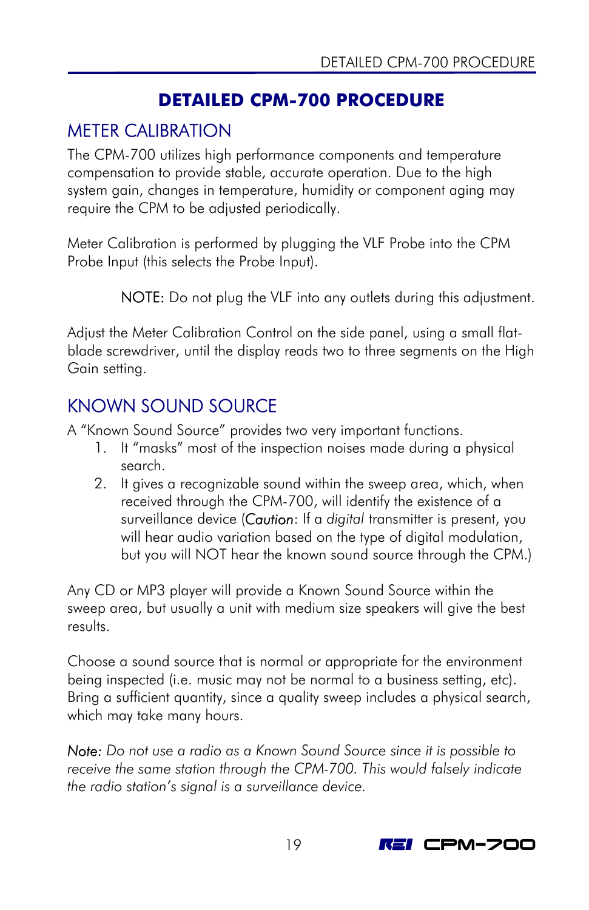# <span id="page-22-2"></span><span id="page-22-1"></span>**DETAILED CPM-700 PROCEDURE**

# <span id="page-22-0"></span>METER CALIBRATION

The CPM-700 utilizes high performance components and temperature compensation to provide stable, accurate operation. Due to the high system gain, changes in temperature, humidity or component aging may require the CPM to be adjusted periodically.

Meter Calibration is performed by plugging the VLF Probe into the CPM Probe Input (this selects the Probe Input).

NOTE: Do not plug the VLF into any outlets during this adjustment.

Adjust the Meter Calibration Control on the side panel, using a small flatblade screwdriver, until the display reads two to three segments on the High Gain setting.

# KNOWN SOUND SOURCE

A "Known Sound Source" provides two very important functions.

- 1. It "masks" most of the inspection noises made during a physical search.
- 2. It gives a recognizable sound within the sweep area, which, when received through the CPM-700, will identify the existence of a surveillance device (*Caution*: If a *digital* transmitter is present, you will hear audio variation based on the type of digital modulation, but you will NOT hear the known sound source through the CPM.)

Any CD or MP3 player will provide a Known Sound Source within the sweep area, but usually a unit with medium size speakers will give the best results.

Choose a sound source that is normal or appropriate for the environment being inspected (i.e. music may not be normal to a business setting, etc). Bring a sufficient quantity, since a quality sweep includes a physical search, which may take many hours.

*Note: Do not use a radio as a Known Sound Source since it is possible to receive the same station through the CPM-700. This would falsely indicate the radio station's signal is a surveillance device.* 

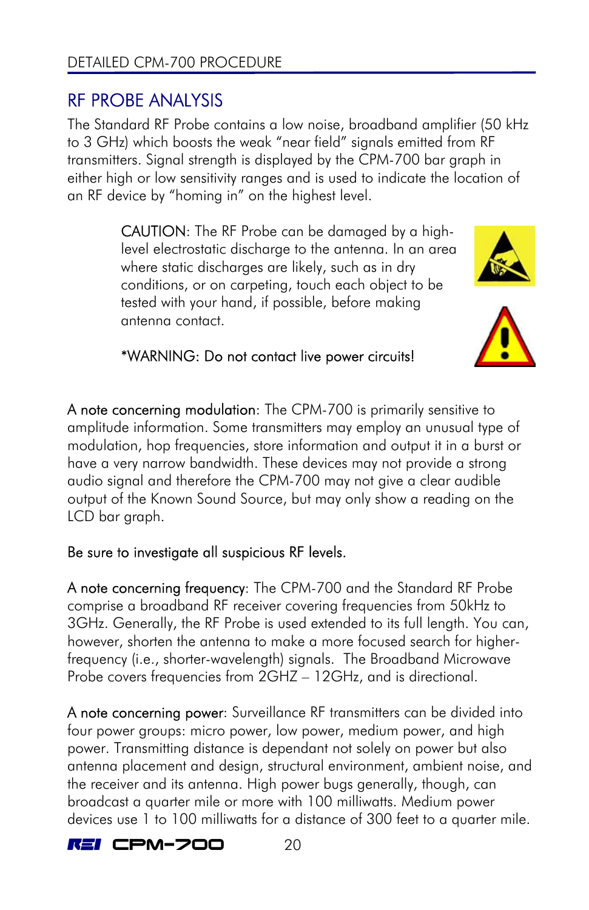# <span id="page-23-0"></span>RF PROBE ANALYSIS

The Standard RF Probe contains a low noise, broadband amplifier (50 kHz to 3 GHz) which boosts the weak "near field" signals emitted from RF transmitters. Signal strength is displayed by the CPM-700 bar graph in either high or low sensitivity ranges and is used to indicate the location of an RF device by "homing in" on the highest level.

> CAUTION: The RF Probe can be damaged by a highlevel electrostatic discharge to the antenna. In an area where static discharges are likely, such as in dry conditions, or on carpeting, touch each object to be tested with your hand, if possible, before making antenna contact.





### \*WARNING: Do not contact live power circuits!

A note concerning modulation: The CPM-700 is primarily sensitive to amplitude information. Some transmitters may employ an unusual type of modulation, hop frequencies, store information and output it in a burst or have a very narrow bandwidth. These devices may not provide a strong audio signal and therefore the CPM-700 may not give a clear audible output of the Known Sound Source, but may only show a reading on the LCD bar graph.

### Be sure to investigate all suspicious RF levels.

A note concerning frequency: The CPM-700 and the Standard RF Probe comprise a broadband RF receiver covering frequencies from 50kHz to 3GHz. Generally, the RF Probe is used extended to its full length. You can, however, shorten the antenna to make a more focused search for higherfrequency (i.e., shorter-wavelength) signals. The Broadband Microwave Probe covers frequencies from 2GHZ – 12GHz, and is directional.

A note concerning power: Surveillance RF transmitters can be divided into four power groups: micro power, low power, medium power, and high power. Transmitting distance is dependant not solely on power but also antenna placement and design, structural environment, ambient noise, and the receiver and its antenna. High power bugs generally, though, can broadcast a quarter mile or more with 100 milliwatts. Medium power devices use 1 to 100 milliwatts for a distance of 300 feet to a quarter mile.

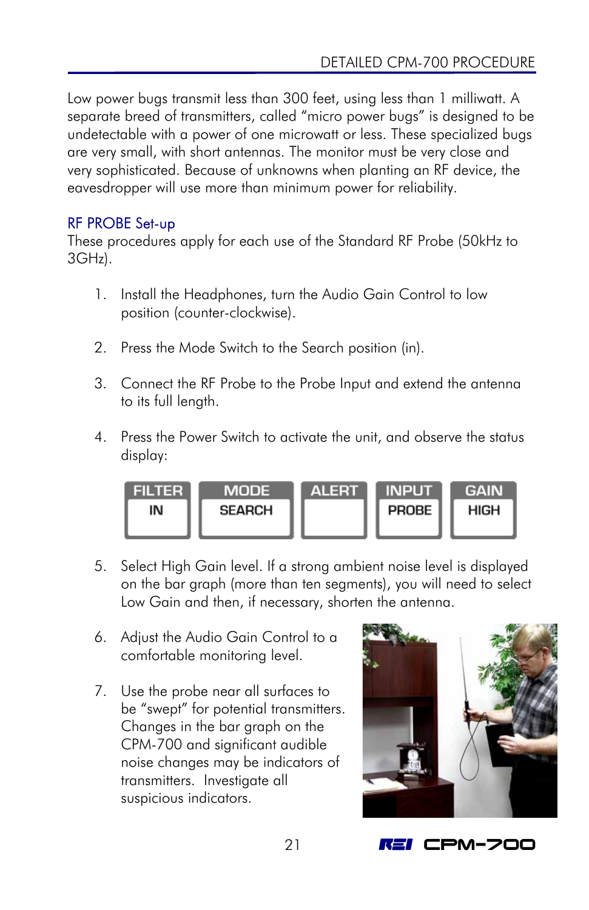Low power bugs transmit less than 300 feet, using less than 1 milliwatt. A separate breed of transmitters, called "micro power bugs" is designed to be undetectable with a power of one microwatt or less. These specialized bugs are very small, with short antennas. The monitor must be very close and very sophisticated. Because of unknowns when planting an RF device, the eavesdropper will use more than minimum power for reliability.

### RF PROBE Set-up

These procedures apply for each use of the Standard RF Probe (50kHz to 3GHz).

- 1. Install the Headphones, turn the Audio Gain Control to low position (counter-clockwise).
- 2. Press the Mode Switch to the Search position (in).
- 3. Connect the RF Probe to the Probe Input and extend the antenna to its full length.
- 4. Press the Power Switch to activate the unit, and observe the status display:



- 5. Select High Gain level. If a strong ambient noise level is displayed on the bar graph (more than ten segments), you will need to select Low Gain and then, if necessary, shorten the antenna.
- 6. Adjust the Audio Gain Control to a comfortable monitoring level.
- 7. Use the probe near all surfaces to be "swept" for potential transmitters. Changes in the bar graph on the CPM-700 and significant audible noise changes may be indicators of transmitters. Investigate all suspicious indicators.

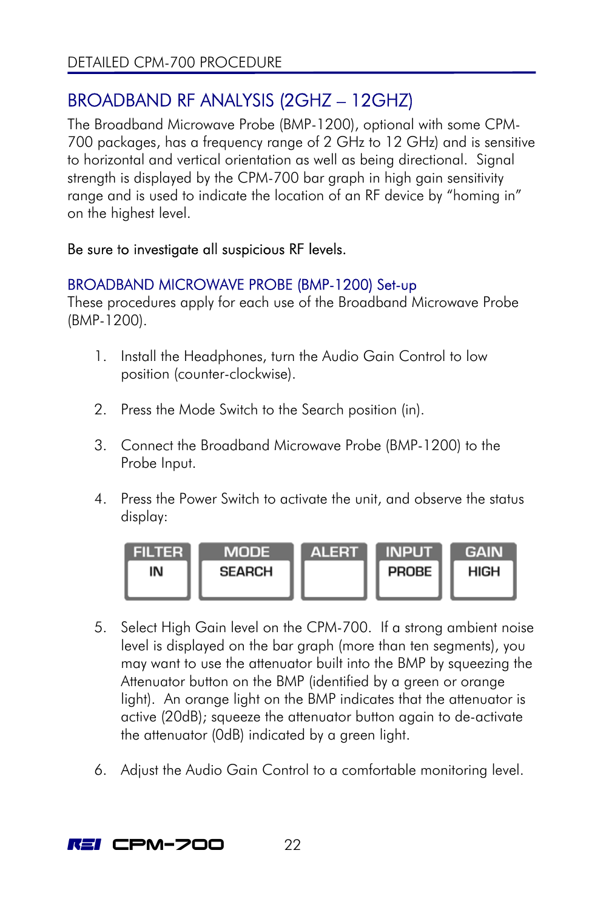# <span id="page-25-1"></span><span id="page-25-0"></span>BROADBAND RF ANALYSIS (2GHZ – 12GHZ)

The Broadband Microwave Probe (BMP-1200), optional with some CPM-700 packages, has a frequency range of 2 GHz to 12 GHz) and is sensitive to horizontal and vertical orientation as well as being directional. Signal strength is displayed by the CPM-700 bar graph in high gain sensitivity range and is used to indicate the location of an RF device by "homing in" on the highest level.

### Be sure to investigate all suspicious RF levels.

### BROADBAND MICROWAVE PROBE (BMP-1200) Set-up

These procedures apply for each use of the Broadband Microwave Probe (BMP-1200).

- 1. Install the Headphones, turn the Audio Gain Control to low position (counter-clockwise).
- 2. Press the Mode Switch to the Search position (in).
- 3. Connect the Broadband Microwave Probe (BMP-1200) to the Probe Input.
- 4. Press the Power Switch to activate the unit, and observe the status display:



- 5. Select High Gain level on the CPM-700. If a strong ambient noise level is displayed on the bar graph (more than ten segments), you may want to use the attenuator built into the BMP by squeezing the Attenuator button on the BMP (identified by a green or orange light). An orange light on the BMP indicates that the attenuator is active (20dB); squeeze the attenuator button again to de-activate the attenuator (0dB) indicated by a green light.
- 6. Adjust the Audio Gain Control to a comfortable monitoring level.

 $RET$  CPM-700  $22$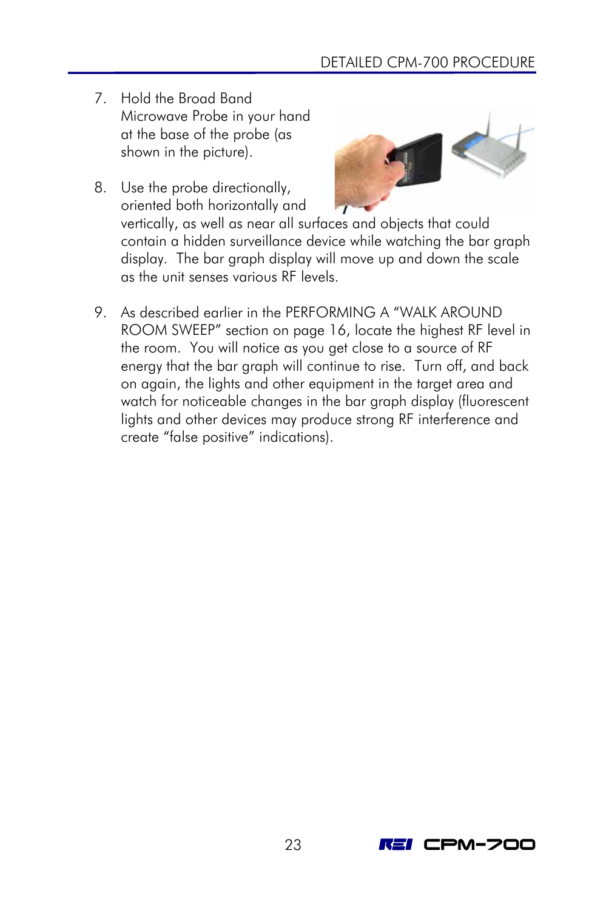- 7. Hold the Broad Band Microwave Probe in your hand at the base of the probe (as shown in the picture).
- 8. Use the probe directionally, oriented both horizontally and vertically, as well as near all surfaces and objects that could contain a hidden surveillance device while watching the bar graph display. The bar graph display will move up and down the scale as the unit senses various RF levels.
- 9. As described earlier in the [PERFORMING A "WALK AROUND](#page-19-1)  ROOM SWEEP" section on page 16, locate the highest RF level in the room. You will notice as you get close to a source of RF energy that the bar graph will continue to rise. Turn off, and back on again, the lights and other equipment in the target area and watch for noticeable changes in the bar graph display (fluorescent lights and other devices may produce strong RF interference and create "false positive" indications).

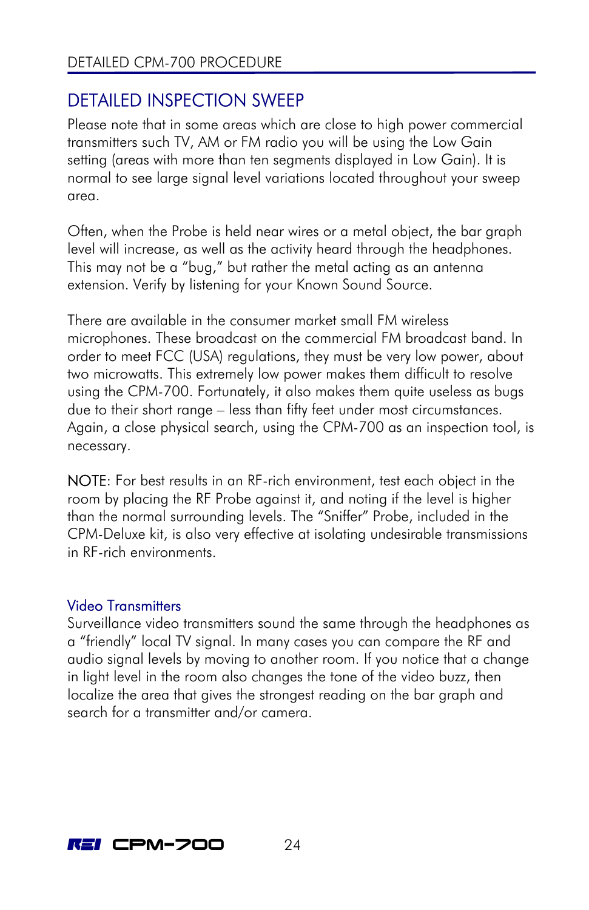# <span id="page-27-0"></span>DETAILED INSPECTION SWEEP

Please note that in some areas which are close to high power commercial transmitters such TV, AM or FM radio you will be using the Low Gain setting (areas with more than ten segments displayed in Low Gain). It is normal to see large signal level variations located throughout your sweep area.

Often, when the Probe is held near wires or a metal object, the bar graph level will increase, as well as the activity heard through the headphones. This may not be a "bug," but rather the metal acting as an antenna extension. Verify by listening for your Known Sound Source.

There are available in the consumer market small FM wireless microphones. These broadcast on the commercial FM broadcast band. In order to meet FCC (USA) regulations, they must be very low power, about two microwatts. This extremely low power makes them difficult to resolve using the CPM-700. Fortunately, it also makes them quite useless as bugs due to their short range – less than fifty feet under most circumstances. Again, a close physical search, using the CPM-700 as an inspection tool, is necessary.

NOTE: For best results in an RF-rich environment, test each object in the room by placing the RF Probe against it, and noting if the level is higher than the normal surrounding levels. The "Sniffer" Probe, included in the CPM-Deluxe kit, is also very effective at isolating undesirable transmissions in RF-rich environments.

### Video Transmitters

Surveillance video transmitters sound the same through the headphones as a "friendly" local TV signal. In many cases you can compare the RF and audio signal levels by moving to another room. If you notice that a change in light level in the room also changes the tone of the video buzz, then localize the area that gives the strongest reading on the bar graph and search for a transmitter and/or camera.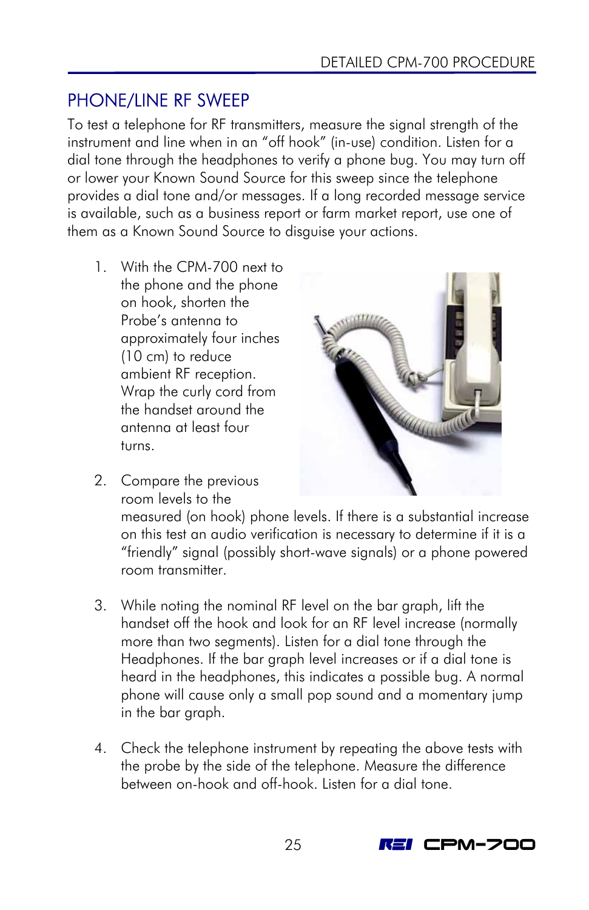# <span id="page-28-0"></span>PHONE/LINE RF SWEEP

To test a telephone for RF transmitters, measure the signal strength of the instrument and line when in an "off hook" (in-use) condition. Listen for a dial tone through the headphones to verify a phone bug. You may turn off or lower your Known Sound Source for this sweep since the telephone provides a dial tone and/or messages. If a long recorded message service is available, such as a business report or farm market report, use one of them as a Known Sound Source to disguise your actions.

- 1. With the CPM-700 next to the phone and the phone on hook, shorten the Probe's antenna to approximately four inches (10 cm) to reduce ambient RF reception. Wrap the curly cord from the handset around the antenna at least four turns.
- 
- 2. Compare the previous room levels to the

measured (on hook) phone levels. If there is a substantial increase on this test an audio verification is necessary to determine if it is a "friendly" signal (possibly short-wave signals) or a phone powered room transmitter.

- 3. While noting the nominal RF level on the bar graph, lift the handset off the hook and look for an RF level increase (normally more than two segments). Listen for a dial tone through the Headphones. If the bar graph level increases or if a dial tone is heard in the headphones, this indicates a possible bug. A normal phone will cause only a small pop sound and a momentary jump in the bar araph.
- 4. Check the telephone instrument by repeating the above tests with the probe by the side of the telephone. Measure the difference between on-hook and off-hook. Listen for a dial tone.

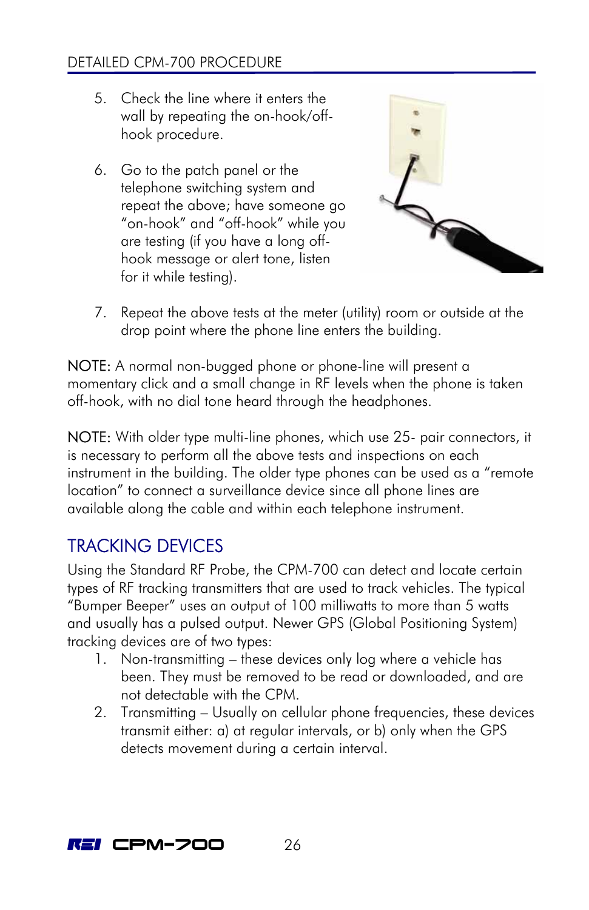### <span id="page-29-0"></span>DETAILED CPM-700 PROCEDURE

- 5. Check the line where it enters the wall by repeating the on-hook/offhook procedure.
- 6. Go to the patch panel or the telephone switching system and repeat the above; have someone go "on-hook" and "off-hook" while you are testing (if you have a long offhook message or alert tone, listen for it while testing).



7. Repeat the above tests at the meter (utility) room or outside at the drop point where the phone line enters the building.

NOTE: A normal non-bugged phone or phone-line will present a momentary click and a small change in RF levels when the phone is taken off-hook, with no dial tone heard through the headphones.

NOTE: With older type multi-line phones, which use 25- pair connectors, it is necessary to perform all the above tests and inspections on each instrument in the building. The older type phones can be used as a "remote location" to connect a surveillance device since all phone lines are available along the cable and within each telephone instrument.

### TRACKING DEVICES

Using the Standard RF Probe, the CPM-700 can detect and locate certain types of RF tracking transmitters that are used to track vehicles. The typical "Bumper Beeper" uses an output of 100 milliwatts to more than 5 watts and usually has a pulsed output. Newer GPS (Global Positioning System) tracking devices are of two types:

- 1. Non-transmitting these devices only log where a vehicle has been. They must be removed to be read or downloaded, and are not detectable with the CPM.
- 2. Transmitting Usually on cellular phone frequencies, these devices transmit either: a) at regular intervals, or b) only when the GPS detects movement during a certain interval.

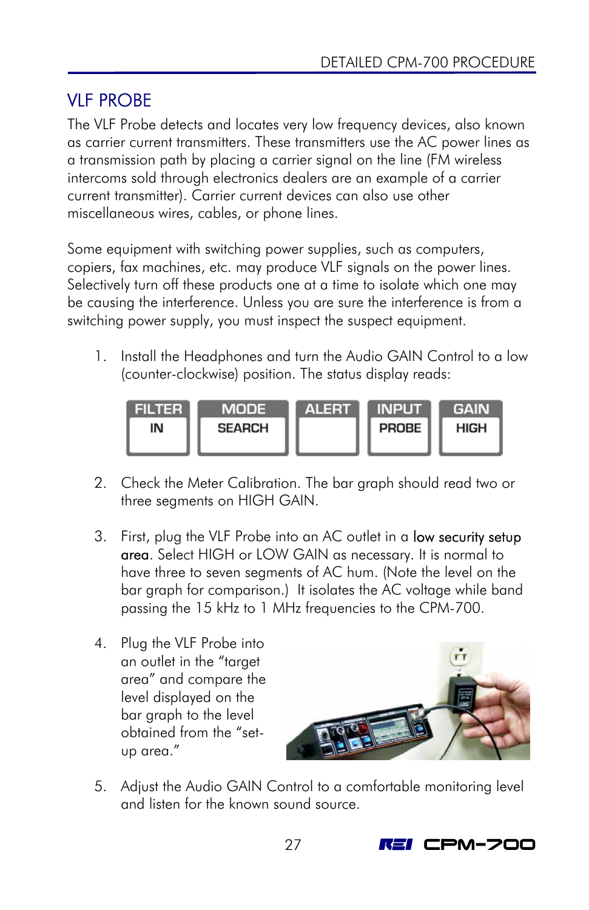# <span id="page-30-0"></span>VLF PROBE

The VLF Probe detects and locates very low frequency devices, also known as carrier current transmitters. These transmitters use the AC power lines as a transmission path by placing a carrier signal on the line (FM wireless intercoms sold through electronics dealers are an example of a carrier current transmitter). Carrier current devices can also use other miscellaneous wires, cables, or phone lines.

Some equipment with switching power supplies, such as computers, copiers, fax machines, etc. may produce VLF signals on the power lines. Selectively turn off these products one at a time to isolate which one may be causing the interference. Unless you are sure the interference is from a switching power supply, you must inspect the suspect equipment.

1. Install the Headphones and turn the Audio GAIN Control to a low (counter-clockwise) position. The status display reads:



- 2. Check the Meter Calibration. The bar graph should read two or three segments on HIGH GAIN.
- 3. First, plug the VLF Probe into an AC outlet in a **low security setup** area. Select HIGH or LOW GAIN as necessary. It is normal to have three to seven segments of AC hum. (Note the level on the bar graph for comparison.) It isolates the AC voltage while band passing the 15 kHz to 1 MHz frequencies to the CPM-700.
- 4. Plug the VLF Probe into an outlet in the "target area" and compare the level displayed on the bar graph to the level obtained from the "setup area."



5. Adjust the Audio GAIN Control to a comfortable monitoring level and listen for the known sound source.

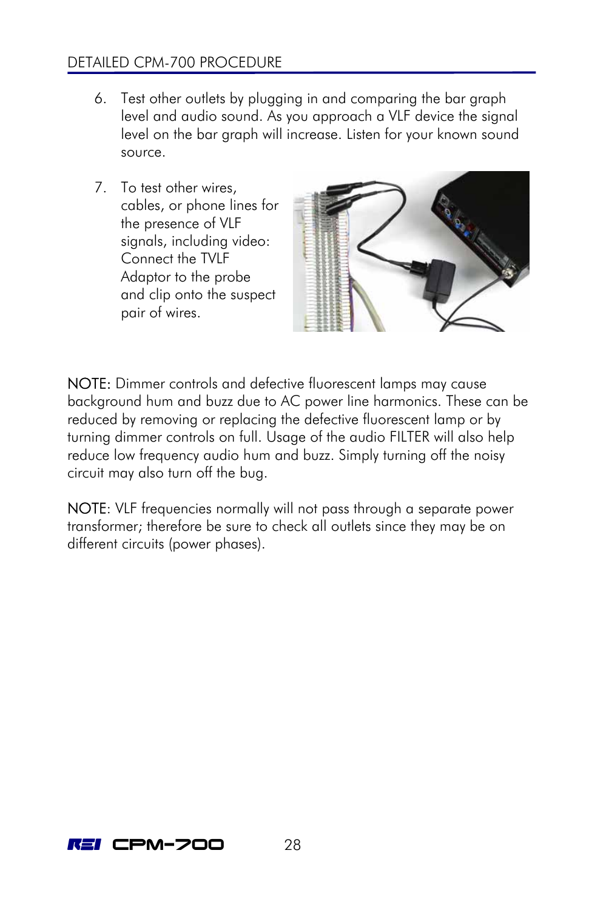### DETAILED CPM-700 PROCEDURE

- 6. Test other outlets by plugging in and comparing the bar graph level and audio sound. As you approach a VLF device the signal level on the bar graph will increase. Listen for your known sound source.
- 7. To test other wires, cables, or phone lines for the presence of VLF signals, including video: Connect the TVLF Adaptor to the probe and clip onto the suspect pair of wires.



NOTE: Dimmer controls and defective fluorescent lamps may cause background hum and buzz due to AC power line harmonics. These can be reduced by removing or replacing the defective fluorescent lamp or by turning dimmer controls on full. Usage of the audio FILTER will also help reduce low frequency audio hum and buzz. Simply turning off the noisy circuit may also turn off the bug.

NOTE: VLF frequencies normally will not pass through a separate power transformer; therefore be sure to check all outlets since they may be on different circuits (power phases).

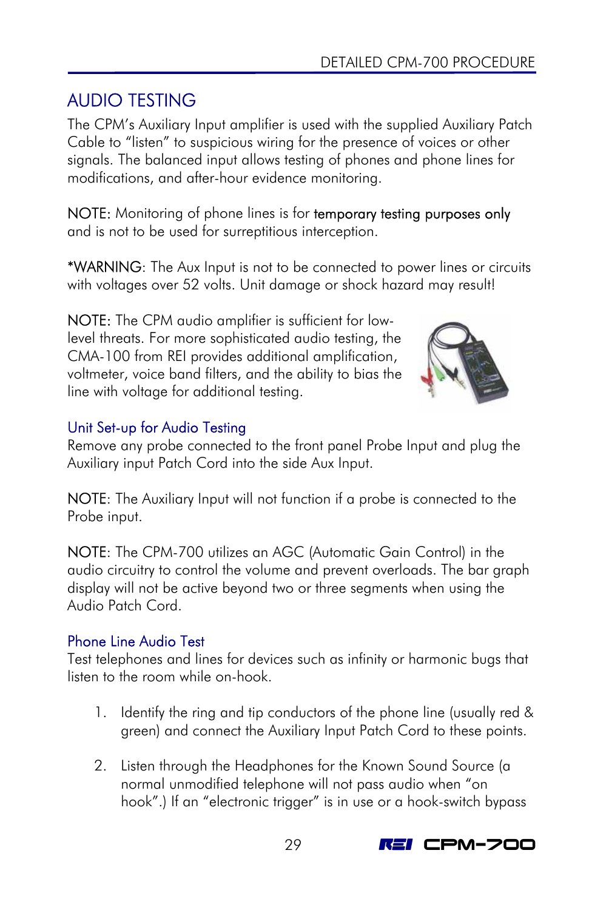# <span id="page-32-0"></span>AUDIO TESTING

The CPM's Auxiliary Input amplifier is used with the supplied Auxiliary Patch Cable to "listen" to suspicious wiring for the presence of voices or other signals. The balanced input allows testing of phones and phone lines for modifications, and after-hour evidence monitoring.

NOTE: Monitoring of phone lines is for temporary testing purposes only and is not to be used for surreptitious interception.

\*WARNING: The Aux Input is not to be connected to power lines or circuits with voltages over 52 volts. Unit damage or shock hazard may result!

NOTE: The CPM audio amplifier is sufficient for lowlevel threats. For more sophisticated audio testing, the CMA-100 from REI provides additional amplification, voltmeter, voice band filters, and the ability to bias the line with voltage for additional testing.



### Unit Set-up for Audio Testing

Remove any probe connected to the front panel Probe Input and plug the Auxiliary input Patch Cord into the side Aux Input.

NOTE: The Auxiliary Input will not function if a probe is connected to the Probe input.

NOTE: The CPM-700 utilizes an AGC (Automatic Gain Control) in the audio circuitry to control the volume and prevent overloads. The bar graph display will not be active beyond two or three segments when using the Audio Patch Cord.

### Phone Line Audio Test

Test telephones and lines for devices such as infinity or harmonic bugs that listen to the room while on-hook.

- 1. Identify the ring and tip conductors of the phone line (usually red & green) and connect the Auxiliary Input Patch Cord to these points.
- 2. Listen through the Headphones for the Known Sound Source (a normal unmodified telephone will not pass audio when "on hook".) If an "electronic trigger" is in use or a hook-switch bypass

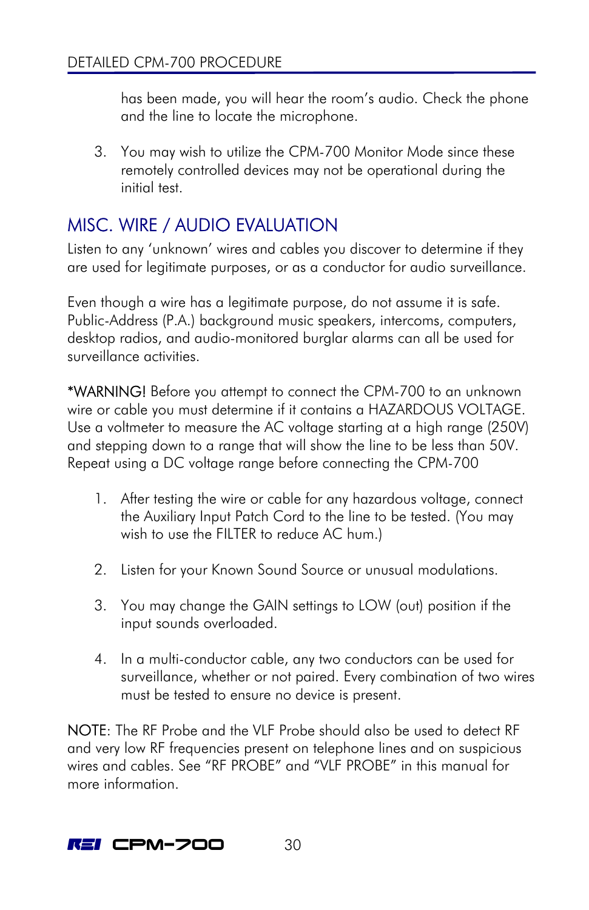<span id="page-33-0"></span>has been made, you will hear the room's audio. Check the phone and the line to locate the microphone.

3. You may wish to utilize the CPM-700 Monitor Mode since these remotely controlled devices may not be operational during the initial test.

# MISC. WIRE / AUDIO EVALUATION

Listen to any 'unknown' wires and cables you discover to determine if they are used for legitimate purposes, or as a conductor for audio surveillance.

Even though a wire has a legitimate purpose, do not assume it is safe. Public-Address (P.A.) background music speakers, intercoms, computers, desktop radios, and audio-monitored burglar alarms can all be used for surveillance activities.

\*WARNING! Before you attempt to connect the CPM-700 to an unknown wire or cable you must determine if it contains a HAZARDOUS VOLTAGE. Use a voltmeter to measure the AC voltage starting at a high range (250V) and stepping down to a range that will show the line to be less than 50V. Repeat using a DC voltage range before connecting the CPM-700

- 1. After testing the wire or cable for any hazardous voltage, connect the Auxiliary Input Patch Cord to the line to be tested. (You may wish to use the FILTER to reduce AC hum.)
- 2. Listen for your Known Sound Source or unusual modulations.
- 3. You may change the GAIN settings to LOW (out) position if the input sounds overloaded.
- 4. In a multi-conductor cable, any two conductors can be used for surveillance, whether or not paired. Every combination of two wires must be tested to ensure no device is present.

NOTE: The RF Probe and the VLF Probe should also be used to detect RF and very low RF frequencies present on telephone lines and on suspicious wires and cables. See "RF PROBE" and "VLF PROBE" in this manual for more information.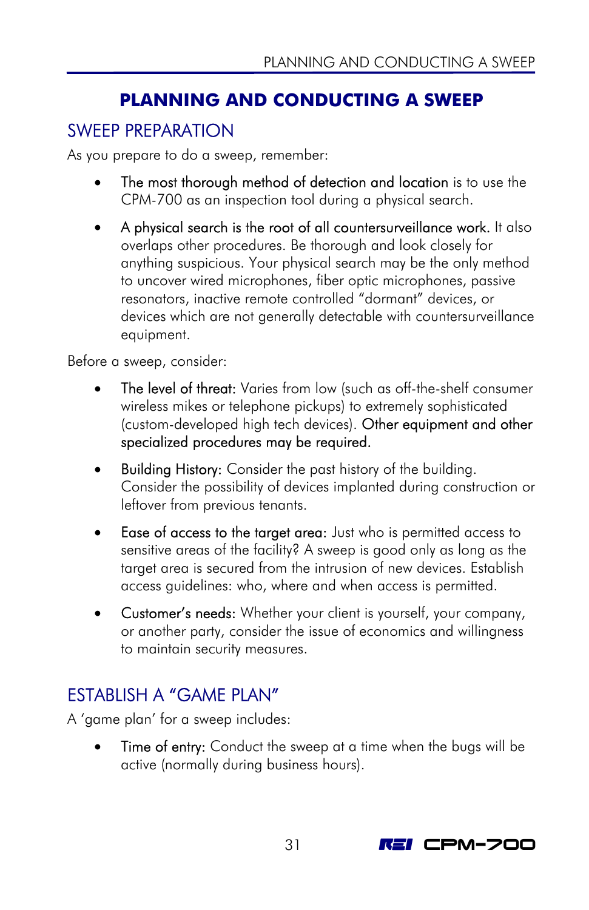# <span id="page-34-1"></span>**PLANNING AND CONDUCTING A SWEEP**

## <span id="page-34-0"></span>SWEEP PREPARATION

As you prepare to do a sweep, remember:

- The most thorough method of detection and location is to use the CPM-700 as an inspection tool during a physical search.
- A physical search is the root of all countersurveillance work. It also overlaps other procedures. Be thorough and look closely for anything suspicious. Your physical search may be the only method to uncover wired microphones, fiber optic microphones, passive resonators, inactive remote controlled "dormant" devices, or devices which are not generally detectable with countersurveillance equipment.

Before a sweep, consider:

- The level of threat: Varies from low (such as off-the-shelf consumer wireless mikes or telephone pickups) to extremely sophisticated (custom-developed high tech devices). Other equipment and other specialized procedures may be required.
- Building History: Consider the past history of the building. Consider the possibility of devices implanted during construction or leftover from previous tenants.
- Ease of access to the target area: Just who is permitted access to sensitive areas of the facility? A sweep is good only as long as the target area is secured from the intrusion of new devices. Establish access guidelines: who, where and when access is permitted.
- Customer's needs: Whether your client is yourself, your company, or another party, consider the issue of economics and willingness to maintain security measures.

# ESTABLISH A "GAME PLAN"

A 'game plan' for a sweep includes:

**Time of entry:** Conduct the sweep at a time when the bugs will be active (normally during business hours).

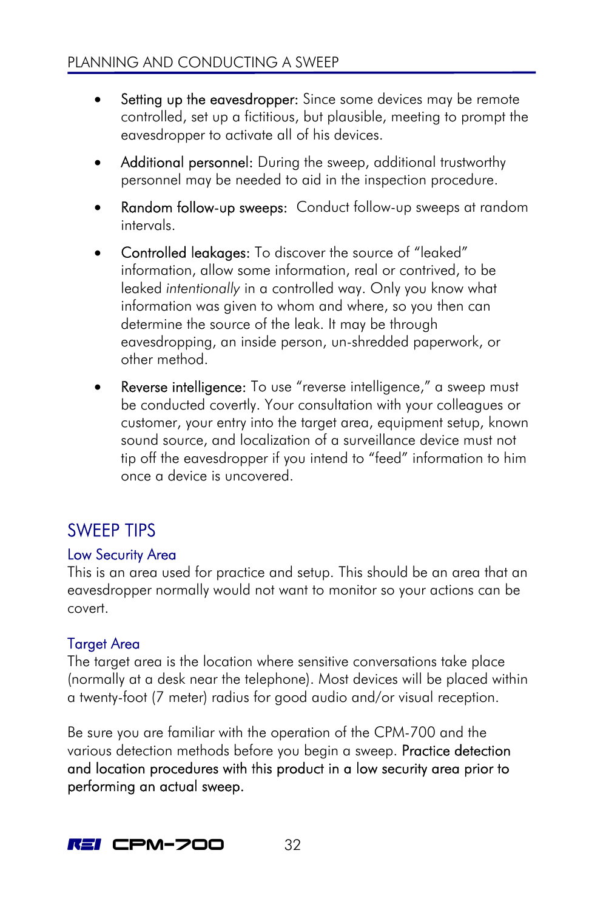- <span id="page-35-0"></span>Setting up the eavesdropper: Since some devices may be remote controlled, set up a fictitious, but plausible, meeting to prompt the eavesdropper to activate all of his devices.
- Additional personnel: During the sweep, additional trustworthy personnel may be needed to aid in the inspection procedure.
- **Random follow-up sweeps:** Conduct follow-up sweeps at random intervals.
- Controlled leakages: To discover the source of "leaked" information, allow some information, real or contrived, to be leaked *intentionally* in a controlled way. Only you know what information was given to whom and where, so you then can determine the source of the leak. It may be through eavesdropping, an inside person, un-shredded paperwork, or other method.
- Reverse intelligence: To use "reverse intelligence," a sweep must be conducted covertly. Your consultation with your colleagues or customer, your entry into the target area, equipment setup, known sound source, and localization of a surveillance device must not tip off the eavesdropper if you intend to "feed" information to him once a device is uncovered.

# SWEEP TIPS

### Low Security Area

This is an area used for practice and setup. This should be an area that an eavesdropper normally would not want to monitor so your actions can be covert.

### **Target Area**

The target area is the location where sensitive conversations take place (normally at a desk near the telephone). Most devices will be placed within a twenty-foot (7 meter) radius for good audio and/or visual reception.

Be sure you are familiar with the operation of the CPM-700 and the various detection methods before you begin a sweep. **Practice detection** and location procedures with this product in a low security area prior to performing an actual sweep.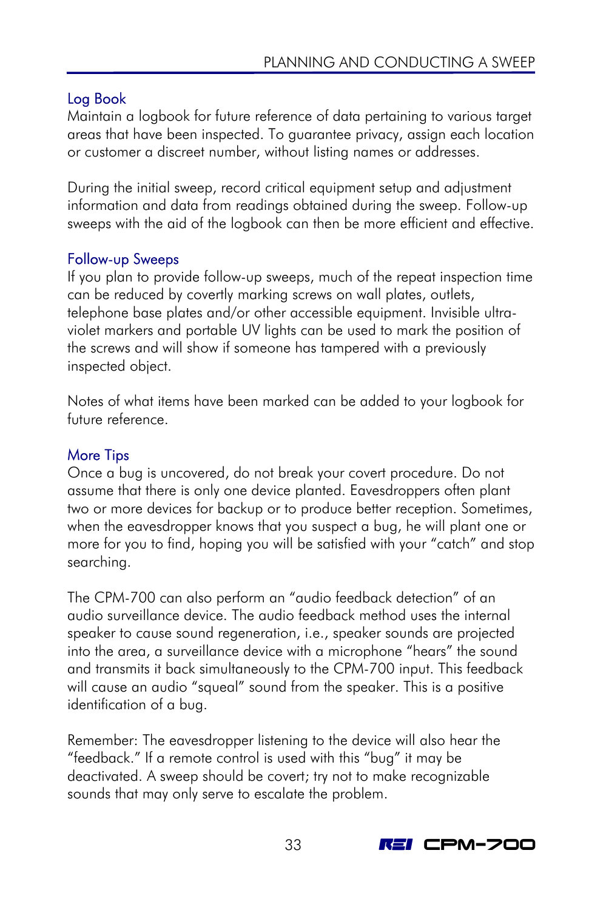### Log Book

Maintain a logbook for future reference of data pertaining to various target areas that have been inspected. To guarantee privacy, assign each location or customer a discreet number, without listing names or addresses.

During the initial sweep, record critical equipment setup and adjustment information and data from readings obtained during the sweep. Follow-up sweeps with the aid of the logbook can then be more efficient and effective.

### Follow-up Sweeps

If you plan to provide follow-up sweeps, much of the repeat inspection time can be reduced by covertly marking screws on wall plates, outlets, telephone base plates and/or other accessible equipment. Invisible ultraviolet markers and portable UV lights can be used to mark the position of the screws and will show if someone has tampered with a previously inspected object.

Notes of what items have been marked can be added to your logbook for future reference.

### More Tips

Once a bug is uncovered, do not break your covert procedure. Do not assume that there is only one device planted. Eavesdroppers often plant two or more devices for backup or to produce better reception. Sometimes, when the eavesdropper knows that you suspect a bug, he will plant one or more for you to find, hoping you will be satisfied with your "catch" and stop searching.

The CPM-700 can also perform an "audio feedback detection" of an audio surveillance device. The audio feedback method uses the internal speaker to cause sound regeneration, i.e., speaker sounds are projected into the area, a surveillance device with a microphone "hears" the sound and transmits it back simultaneously to the CPM-700 input. This feedback will cause an audio "squeal" sound from the speaker. This is a positive identification of a bug.

Remember: The eavesdropper listening to the device will also hear the "feedback." If a remote control is used with this "bug" it may be deactivated. A sweep should be covert; try not to make recognizable sounds that may only serve to escalate the problem.

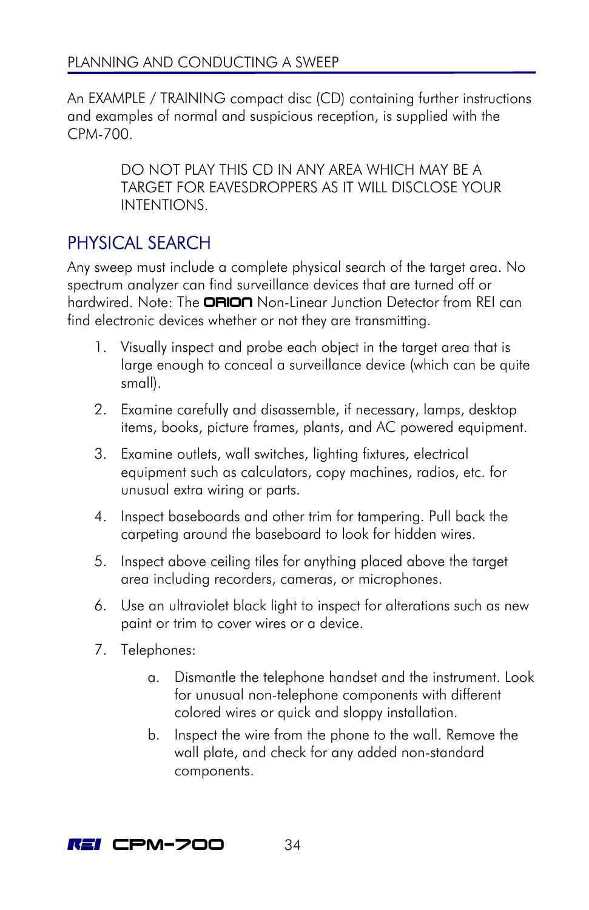<span id="page-37-0"></span>An EXAMPLE / TRAINING compact disc (CD) containing further instructions and examples of normal and suspicious reception, is supplied with the CPM-700.

> DO NOT PLAY THIS CD IN ANY AREA WHICH MAY BE A TARGET FOR EAVESDROPPERS AS IT WILL DISCLOSE YOUR INTENTIONS.

# PHYSICAL SEARCH

Any sweep must include a complete physical search of the target area. No spectrum analyzer can find surveillance devices that are turned off or hardwired. Note: The **ORION** Non-Linear Junction Detector from REI can find electronic devices whether or not they are transmitting.

- 1. Visually inspect and probe each object in the target area that is large enough to conceal a surveillance device (which can be quite small).
- 2. Examine carefully and disassemble, if necessary, lamps, desktop items, books, picture frames, plants, and AC powered equipment.
- 3. Examine outlets, wall switches, lighting fixtures, electrical equipment such as calculators, copy machines, radios, etc. for unusual extra wiring or parts.
- 4. Inspect baseboards and other trim for tampering. Pull back the carpeting around the baseboard to look for hidden wires.
- 5. Inspect above ceiling tiles for anything placed above the target area including recorders, cameras, or microphones.
- 6. Use an ultraviolet black light to inspect for alterations such as new paint or trim to cover wires or a device.
- 7. Telephones:
	- a. Dismantle the telephone handset and the instrument. Look for unusual non-telephone components with different colored wires or quick and sloppy installation.
	- b. Inspect the wire from the phone to the wall. Remove the wall plate, and check for any added non-standard components.

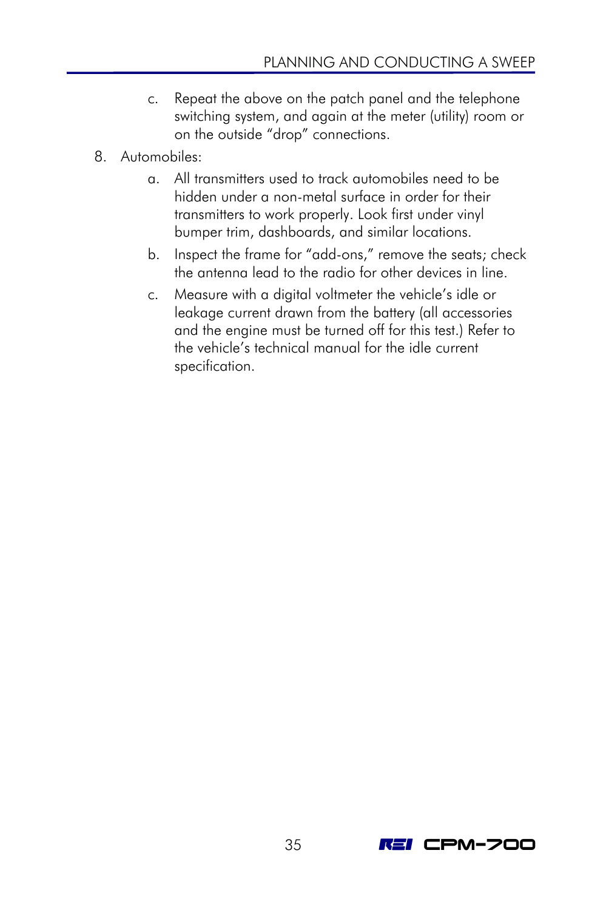- c. Repeat the above on the patch panel and the telephone switching system, and again at the meter (utility) room or on the outside "drop" connections.
- 8. Automobiles:
	- a. All transmitters used to track automobiles need to be hidden under a non-metal surface in order for their transmitters to work properly. Look first under vinyl bumper trim, dashboards, and similar locations.
	- b. Inspect the frame for "add-ons," remove the seats; check the antenna lead to the radio for other devices in line.
	- c. Measure with a digital voltmeter the vehicle's idle or leakage current drawn from the battery (all accessories and the engine must be turned off for this test.) Refer to the vehicle's technical manual for the idle current specification.

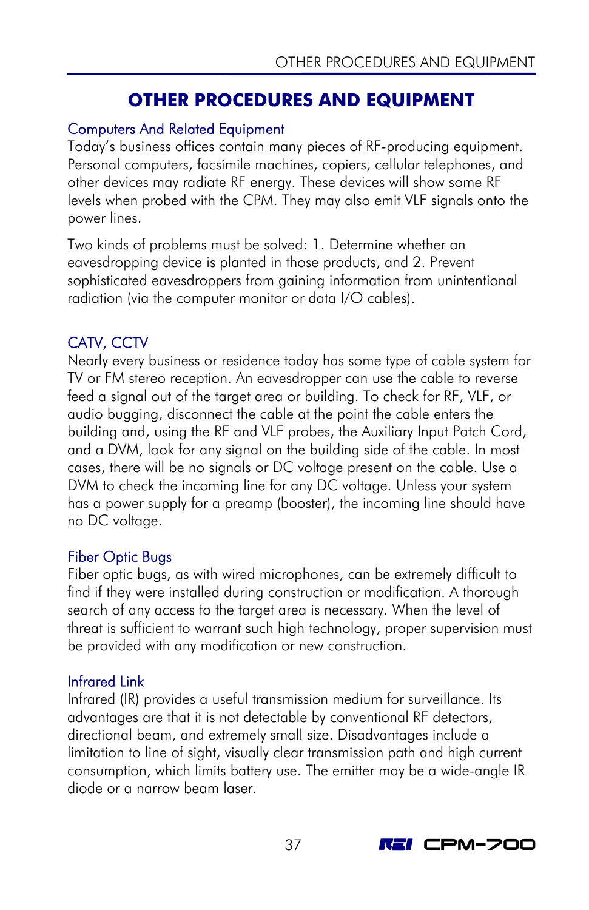### **OTHER PROCEDURES AND EQUIPMENT**

### <span id="page-40-0"></span>Computers And Related Equipment

Today's business offices contain many pieces of RF-producing equipment. Personal computers, facsimile machines, copiers, cellular telephones, and other devices may radiate RF energy. These devices will show some RF levels when probed with the CPM. They may also emit VLF signals onto the power lines.

Two kinds of problems must be solved: 1. Determine whether an eavesdropping device is planted in those products, and 2. Prevent sophisticated eavesdroppers from gaining information from unintentional radiation (via the computer monitor or data I/O cables).

### CATV, CCTV

Nearly every business or residence today has some type of cable system for TV or FM stereo reception. An eavesdropper can use the cable to reverse feed a signal out of the target area or building. To check for RF, VLF, or audio bugging, disconnect the cable at the point the cable enters the building and, using the RF and VLF probes, the Auxiliary Input Patch Cord, and a DVM, look for any signal on the building side of the cable. In most cases, there will be no signals or DC voltage present on the cable. Use a DVM to check the incoming line for any DC voltage. Unless your system has a power supply for a preamp (booster), the incoming line should have no DC voltage.

### Fiber Optic Bugs

Fiber optic bugs, as with wired microphones, can be extremely difficult to find if they were installed during construction or modification. A thorough search of any access to the target area is necessary. When the level of threat is sufficient to warrant such high technology, proper supervision must be provided with any modification or new construction.

### Infrared Link

Infrared (IR) provides a useful transmission medium for surveillance. Its advantages are that it is not detectable by conventional RF detectors, directional beam, and extremely small size. Disadvantages include a limitation to line of sight, visually clear transmission path and high current consumption, which limits battery use. The emitter may be a wide-angle IR diode or a narrow beam laser.

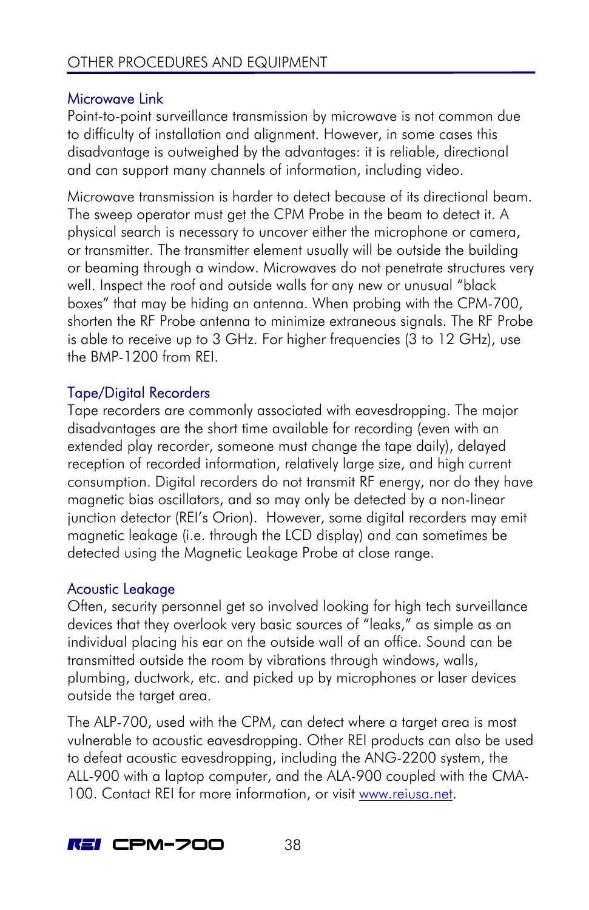### Microwave Link

Point-to-point surveillance transmission by microwave is not common due to difficulty of installation and alignment. However, in some cases this disadvantage is outweighed by the advantages: it is reliable, directional and can support many channels of information, including video.

Microwave transmission is harder to detect because of its directional beam. The sweep operator must get the CPM Probe in the beam to detect it. A physical search is necessary to uncover either the microphone or camera, or transmitter. The transmitter element usually will be outside the building or beaming through a window. Microwaves do not penetrate structures very well. Inspect the roof and outside walls for any new or unusual "black boxes" that may be hiding an antenna. When probing with the CPM-700, shorten the RF Probe antenna to minimize extraneous signals. The RF Probe is able to receive up to 3 GHz. For higher frequencies (3 to 12 GHz), use the BMP-1200 from REI.

### Tape/Digital Recorders

Tape recorders are commonly associated with eavesdropping. The major disadvantages are the short time available for recording (even with an extended play recorder, someone must change the tape daily), delayed reception of recorded information, relatively large size, and high current consumption. Digital recorders do not transmit RF energy, nor do they have magnetic bias oscillators, and so may only be detected by a non-linear junction detector (REI's Orion). However, some digital recorders may emit magnetic leakage (i.e. through the LCD display) and can sometimes be detected using the Magnetic Leakage Probe at close range.

### Acoustic Leakage

Often, security personnel get so involved looking for high tech surveillance devices that they overlook very basic sources of "leaks," as simple as an individual placing his ear on the outside wall of an office. Sound can be transmitted outside the room by vibrations through windows, walls, plumbing, ductwork, etc. and picked up by microphones or laser devices outside the target area.

The ALP-700, used with the CPM, can detect where a target area is most vulnerable to acoustic eavesdropping. Other REI products can also be used to defeat acoustic eavesdropping, including the ANG-2200 system, the ALL-900 with a laptop computer, and the ALA-900 coupled with the CMA-100. Contact REI for more information, or visit www.reiusa.net.

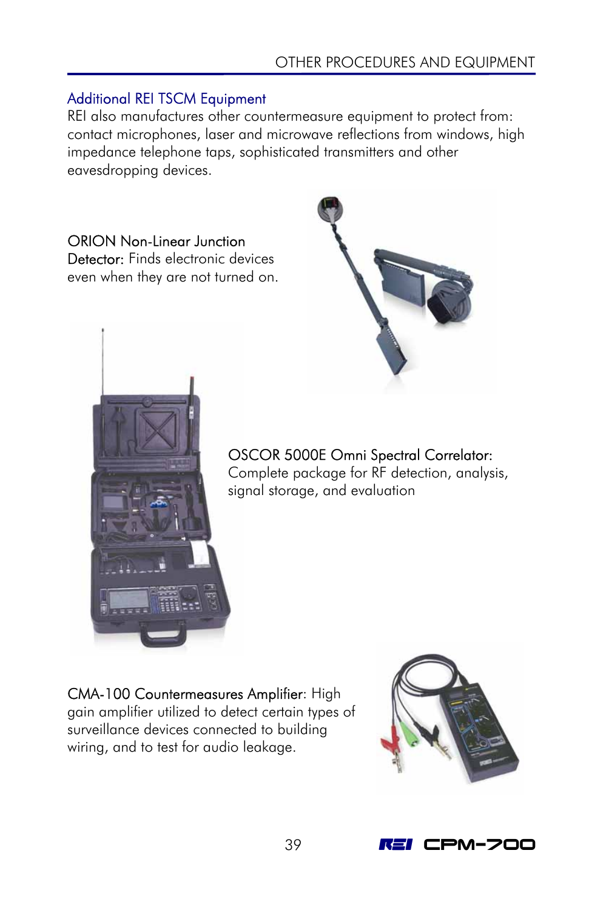### Additional REI TSCM Equipment

REI also manufactures other countermeasure equipment to protect from: contact microphones, laser and microwave reflections from windows, high impedance telephone taps, sophisticated transmitters and other eavesdropping devices.

### ORION Non-Linear Junction

Detector: Finds electronic devices even when they are not turned on.





#### OSCOR 5000E Omni Spectral Correlator: Complete package for RF detection, analysis, signal storage, and evaluation

CMA-100 Countermeasures Amplifier: High gain amplifier utilized to detect certain types of surveillance devices connected to building wiring, and to test for audio leakage.



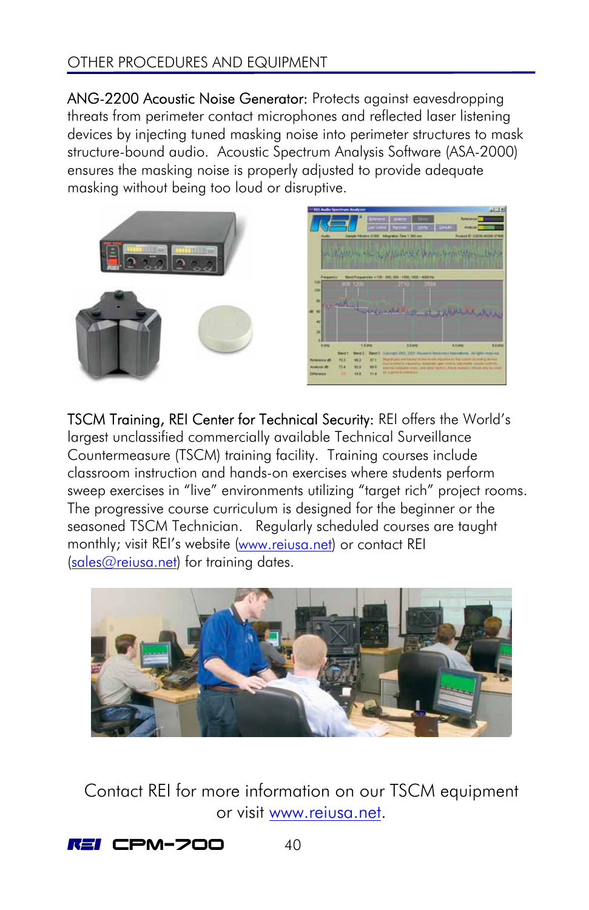### OTHER PROCEDURES AND EQUIPMENT

ANG-2200 Acoustic Noise Generator: Protects against eavesdropping threats from perimeter contact microphones and reflected laser listening devices by injecting tuned masking noise into perimeter structures to mask structure-bound audio. Acoustic Spectrum Analysis Software (ASA-2000) ensures the masking noise is properly adjusted to provide adequate masking without being too loud or disruptive.





TSCM Training, REI Center for Technical Security: REI offers the World's largest unclassified commercially available Technical Surveillance Countermeasure (TSCM) training facility. Training courses include classroom instruction and hands-on exercises where students perform sweep exercises in "live" environments utilizing "target rich" project rooms. The progressive course curriculum is designed for the beginner or the seasoned TSCM Technician. Regularly scheduled courses are taught monthly; visit REI's website [\(www.reiusa.net](http://www.reiusa.net/)) or contact REI [\(sales@reiusa.net\)](mailto:sales@reiusa.net) for training dates.



Contact REI for more information on our TSCM equipment or visit www.reiusa.net.

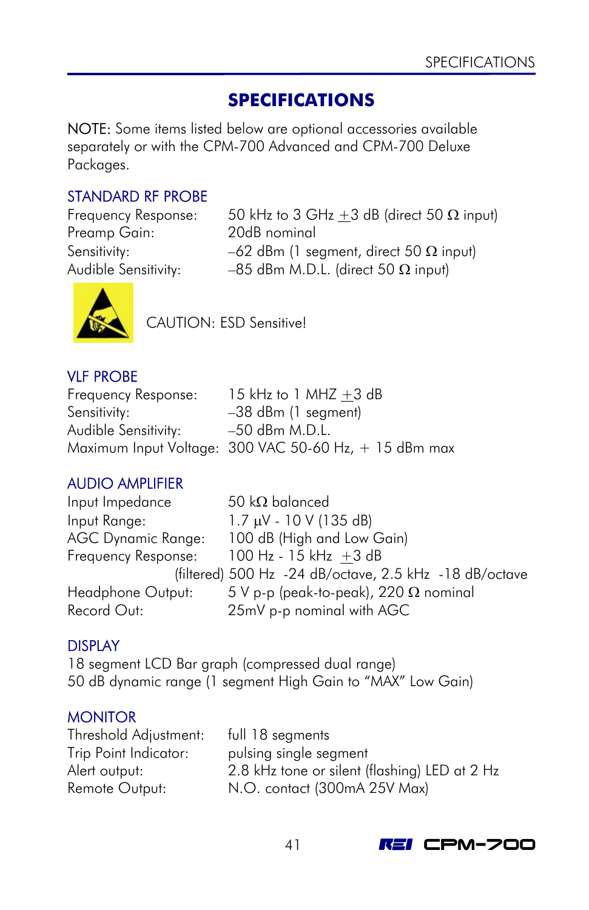### **SPECIFICATIONS**

<span id="page-44-0"></span>NOTE: Some items listed below are optional accessories available separately or with the CPM-700 Advanced and CPM-700 Deluxe Packages.

### STANDARD RF PROBE

Preamp Gain: 20dB nominal

Frequency Response: 50 kHz to 3 GHz  $\pm$ 3 dB (direct 50  $\Omega$  input) Sensitivity:  $-62$  dBm (1 segment, direct 50  $\Omega$  input) Audible Sensitivity: –85 dBm M.D.L. (direct 50  $\Omega$  input)



CAUTION: ESD Sensitive!

#### VLF PROBE

| Frequency Response:  | 15 kHz to 1 MHZ $+3$ dB                               |
|----------------------|-------------------------------------------------------|
| Sensitivity:         | $-38$ dBm (1 segment)                                 |
| Audible Sensitivity: | –50 dBm M.D.L.                                        |
|                      | Maximum Input Voltage: 300 VAC 50-60 Hz, + 15 dBm max |

### AUDIO AMPLIFIER

| Input Impedance           | 50 k $\Omega$ balanced                                 |
|---------------------------|--------------------------------------------------------|
| Input Range:              | $1.7 \mu V - 10 V (135 dB)$                            |
| <b>AGC Dynamic Range:</b> | 100 dB (High and Low Gain)                             |
| Frequency Response:       | $100$ Hz - $15$ kHz +3 dB                              |
|                           | (filtered) 500 Hz -24 dB/octave, 2.5 kHz -18 dB/octave |
| Headphone Output:         | 5 V p-p (peak-to-peak), 220 $\Omega$ nominal           |
| Record Out:               | 25mV p-p nominal with AGC                              |

### DISPLAY

18 segment LCD Bar graph (compressed dual range) 50 dB dynamic range (1 segment High Gain to "MAX" Low Gain)

### **MONITOR**

Threshold Adjustment: full 18 segments Trip Point Indicator: pulsing single segment

Alert output: 2.8 kHz tone or silent (flashing) LED at 2 Hz Remote Output: N.O. contact (300mA 25V Max)

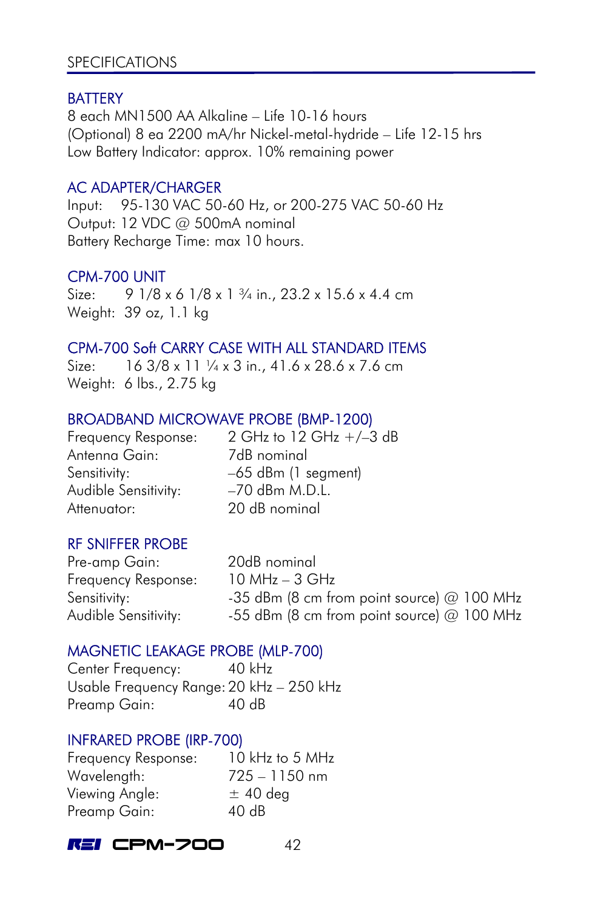#### **SPECIFICATIONS**

#### **BATTERY**

8 each MN1500 AA Alkaline – Life 10-16 hours (Optional) 8 ea 2200 mA/hr Nickel-metal-hydride – Life 12-15 hrs Low Battery Indicator: approx. 10% remaining power

#### AC ADAPTER/CHARGER

Input: 95-130 VAC 50-60 Hz, or 200-275 VAC 50-60 Hz Output: 12 VDC @ 500mA nominal Battery Recharge Time: max 10 hours.

#### CPM-700 UNIT

Size:  $91/8 \times 61/8 \times 1\frac{3}{4}$  in., 23.2 x 15.6 x 4.4 cm Weight: 39 oz, 1.1 kg

#### CPM-700 Soft CARRY CASE WITH ALL STANDARD ITEMS

Size: 16 3/8 x 11  $\frac{1}{4}$  x 3 in., 41.6 x 28.6 x 7.6 cm Weight: 6 lbs., 2.75 kg

### BROADBAND MICROWAVE PROBE (BMP-1200)

Antenna Gain: 7dB nominal Audible Sensitivity: - -70 dBm M.D.L. Attenuator: 20 dB nominal

Frequency Response: 2 GHz to 12 GHz +/–3 dB Sensitivity:  $-65$  dBm (1 segment)

### RF SNIFFER PROBE

Pre-amp Gain: 20dB nominal Frequency Response: 10 MHz – 3 GHz

Sensitivity:  $-35$  dBm (8 cm from point source) @ 100 MHz Audible Sensitivity:  $-55$  dBm (8 cm from point source) @ 100 MHz

### MAGNETIC LEAKAGE PROBE (MLP-700)

Center Frequency: 40 kHz Usable Frequency Range: 20 kHz – 250 kHz Preamp Gain: 40 dB

#### INFRARED PROBE (IRP-700)

Frequency Response: 10 kHz to 5 MHz Wavelength: 725 – 1150 nm Viewing Angle:  $\pm$  40 deg Preamp Gain: 40 dB

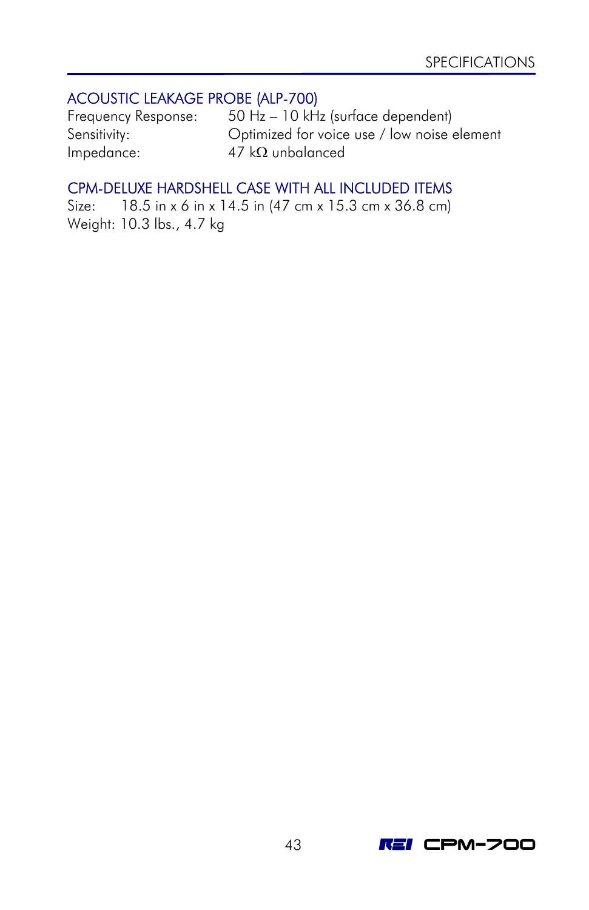### ACOUSTIC LEAKAGE PROBE (ALP-700)

Impedance: 47 kΩ unbalanced

Frequency Response: 50 Hz – 10 kHz (surface dependent) Sensitivity: Optimized for voice use / low noise element

### CPM-DELUXE HARDSHELL CASE WITH ALL INCLUDED ITEMS

Size: 18.5 in x 6 in x 14.5 in (47 cm x 15.3 cm x 36.8 cm) Weight: 10.3 lbs., 4.7 kg

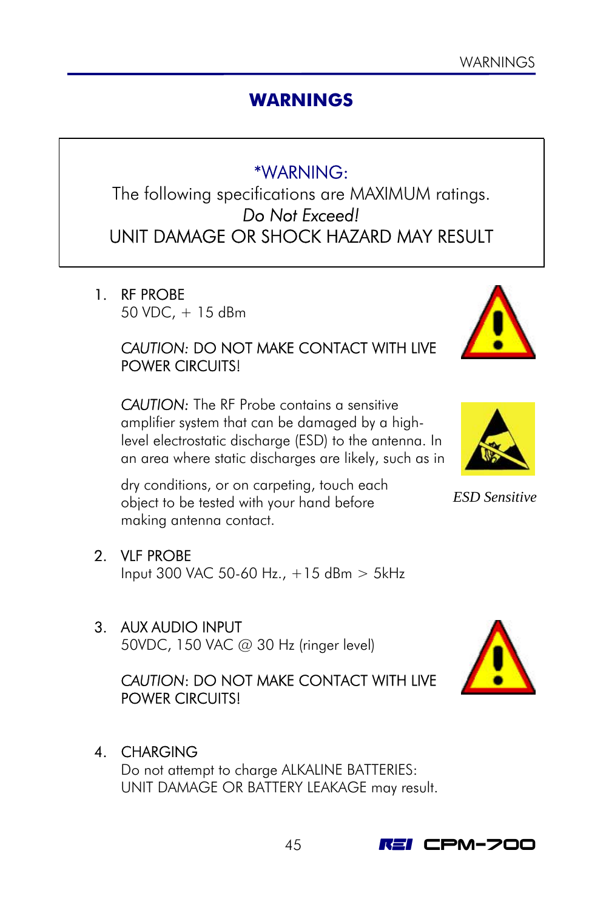### **WARNINGS**

### \*WARNING:

<span id="page-48-0"></span>The following specifications are MAXIMUM ratings. *Do Not Exceed!*  UNIT DAMAGE OR SHOCK HAZARD MAY RESULT

1 RF PROBE 50 VDC, + 15 dBm

### *CAUTION:* DO NOT MAKE CONTACT WITH LIVE POWER CIRCUITS!

*CAUTION:* The RF Probe contains a sensitive amplifier system that can be damaged by a highlevel electrostatic discharge (ESD) to the antenna. In an area where static discharges are likely, such as in

dry conditions, or on carpeting, touch each object to be tested with your hand before making antenna contact.

2. VLF PROBE

Input 300 VAC 50-60 Hz., +15 dBm > 5kHz

### 3. AUX AUDIO INPUT

50VDC, 150 VAC @ 30 Hz (ringer level)

### *CAUTION*: DO NOT MAKE CONTACT WITH LIVE POWER CIRCUITS!

4. CHARGING

Do not attempt to charge ALKALINE BATTERIES: UNIT DAMAGE OR BATTERY LEAKAGE may result.



*ESD Sensitive*